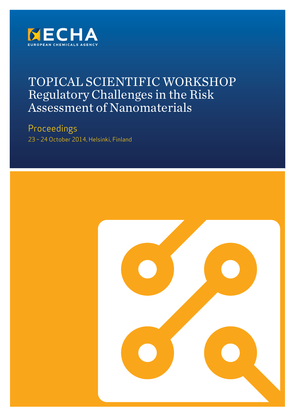

# TOPICAL SCIENTIFIC WORKSHOP Regulatory Challenges in the Risk Assessment of Nanomaterials

Proceedings 23 – 24 October 2014, Helsinki, Finland

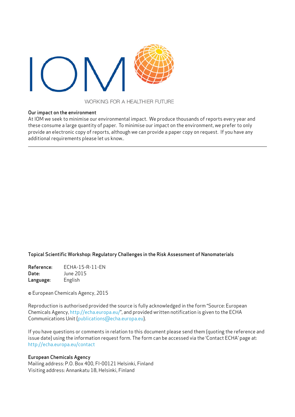

### WORKING FOR A HEALTHIER FUTURE

#### Our impact on the environment

At IOM we seek to minimise our environmental impact. We produce thousands of reports every year and these consume a large quantity of paper. To minimise our impact on the environment, we prefer to only provide an electronic copy of reports, although we can provide a paper copy on request. If you have any additional requirements please let us know..

### Topical Scientific Workshop: Regulatory Challenges in the Risk Assessment of Nanomaterials

Reference: ECHA-15-R-11-EN Date: June 2015 Language: English

© European Chemicals Agency, 2015

Reproduction is authorised provided the source is fully acknowledged in the form "Source: European Chemicals Agency, http://echa.europa.eu/", and provided written notification is given to the ECHA Communications Unit [\(publications@echa.europa.eu](mailto:?subject=publications%40echa.europa.eu)).

If you have questions or comments in relation to this document please send them (quoting the reference and issue date) using the information request form. The form can be accessed via the 'Contact ECHA' page at: http://echa.europa.eu/contact

#### European Chemicals Agency

Mailing address: P.O. Box 400, FI-00121 Helsinki, Finland Visiting address: Annankatu 18, Helsinki, Finland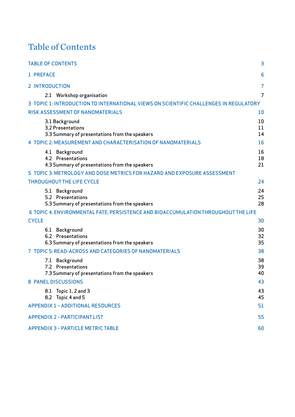# Table of Contents

| <b>TABLE OF CONTENTS</b>                                                                                                                                                                    | 3                    |
|---------------------------------------------------------------------------------------------------------------------------------------------------------------------------------------------|----------------------|
| 1 PREFACE                                                                                                                                                                                   | 6                    |
| <b>2 INTRODUCTION</b>                                                                                                                                                                       | 7                    |
| 2.1 Workshop organisation<br>3 TOPIC 1: INTRODUCTION TO INTERNATIONAL VIEWS ON SCIENTIFIC CHALLENGES IN REGULATORY                                                                          | 7                    |
| <b>RISK ASSESSMENT OF NANOMATERIALS</b>                                                                                                                                                     | 10                   |
| 3.1 Background<br>3.2 Presentations<br>3.3 Summary of presentations from the speakers                                                                                                       | 10<br>11<br>14       |
| 4 TOPIC 2: MEASUREMENT AND CHARACTERISATION OF NANOMATERIALS                                                                                                                                | 16                   |
| 4.1 Background<br>4.2 Presentations<br>4.3 Summary of presentations from the speakers                                                                                                       | 16<br>18<br>21       |
| 5 TOPIC 3: METROLOGY AND DOSE METRICS FOR HAZARD AND EXPOSURE ASSESSMENT                                                                                                                    |                      |
| <b>THROUGHOUT THE LIFE CYCLE</b>                                                                                                                                                            | 24                   |
| 5.1 Background<br>5.2 Presentations<br>5.3 Summary of presentations from the speakers<br>6 TOPIC 4: ENVIRONMENTAL FATE, PERSISTENCE AND BIOACCUMULATION THROUGHOUT THE LIFE<br><b>CYCLE</b> | 24<br>25<br>28<br>30 |
| 6.1 Background                                                                                                                                                                              | 30                   |
| 6.2 Presentations<br>6.3 Summary of presentations from the speakers                                                                                                                         | 32<br>35             |
| 7 TOPIC 5: READ-ACROSS AND CATEGORIES OF NANOMATERIALS                                                                                                                                      | 38                   |
| 7.1 Background<br>7.2 Presentations<br>7.3 Summary of presentations from the speakers                                                                                                       | 38<br>39<br>40       |
| <b>8 PANEL DISCUSSIONS</b>                                                                                                                                                                  | 43                   |
| Topic $1, 2$ and $3$<br>8.1<br>8.2 Topic 4 and 5                                                                                                                                            | 43<br>45             |
| <b>APPENDIX 1 - ADDITIONAL RESOURCES</b>                                                                                                                                                    | 51                   |
| <b>APPENDIX 2 - PARTICIPANT LIST</b>                                                                                                                                                        | 55                   |
| <b>APPENDIX 3 - PARTICLE METRIC TABLE</b>                                                                                                                                                   | 60                   |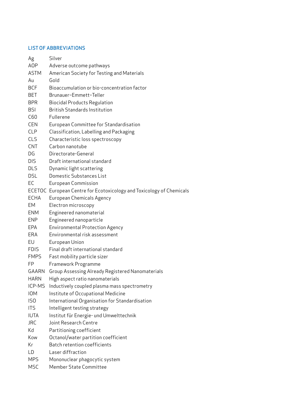# LIST OF ABBREVIATIONS

| Ag           | Silver                                                               |
|--------------|----------------------------------------------------------------------|
| <b>AOP</b>   | Adverse outcome pathways                                             |
| <b>ASTM</b>  | American Society for Testing and Materials                           |
| Au           | Gold                                                                 |
| <b>BCF</b>   | Bioaccumulation or bio-concentration factor                          |
| BET          | Brunauer-Emmett-Teller                                               |
| <b>BPR</b>   | <b>Biocidal Products Regulation</b>                                  |
| <b>BSI</b>   | <b>British Standards Institution</b>                                 |
| C60          | Fullerene                                                            |
| <b>CEN</b>   | European Committee for Standardisation                               |
| <b>CLP</b>   | Classification, Labelling and Packaging                              |
| <b>CLS</b>   | Characteristic loss spectroscopy                                     |
| <b>CNT</b>   | Carbon nanotube                                                      |
| DG           | Directorate-General                                                  |
| <b>DIS</b>   | Draft international standard                                         |
| <b>DLS</b>   | Dynamic light scattering                                             |
| <b>DSL</b>   | Domestic Substances List                                             |
| EC           | European Commission                                                  |
|              | ECETOC European Centre for Ecotoxicology and Toxicology of Chemicals |
| <b>ECHA</b>  | <b>European Chemicals Agency</b>                                     |
| EМ           | Electron microscopy                                                  |
| <b>ENM</b>   | Engineered nanomaterial                                              |
| <b>ENP</b>   | Engineered nanoparticle                                              |
| EPA          | <b>Environmental Protection Agency</b>                               |
| ERA          | Environmental risk assessment                                        |
| EU           | European Union                                                       |
| <b>FDIS</b>  | Final draft international standard                                   |
| <b>FMPS</b>  | Fast mobility particle sizer                                         |
| FP           | Framework Programme                                                  |
| <b>GAARN</b> | Group Assessing Already Registered Nanomaterials                     |
| <b>HARN</b>  | High aspect ratio nanomaterials                                      |
| ICP-MS       | Inductively coupled plasma mass spectrometry                         |
| <b>IOM</b>   | Institute of Occupational Medicine                                   |
| ISO          | International Organisation for Standardisation                       |
| <b>ITS</b>   | Intelligent testing strategy                                         |
| <b>IUTA</b>  | Institut für Energie- und Umwelttechnik                              |
| <b>JRC</b>   | Joint Research Centre                                                |
| Kd           | Partitioning coefficient                                             |
| Kow          | Octanol/water partition coefficient                                  |
| Кr           | Batch retention coefficients                                         |
| LD           | Laser diffraction                                                    |
| <b>MPS</b>   | Mononuclear phagocytic system                                        |
| <b>MSC</b>   | Member State Committee                                               |
|              |                                                                      |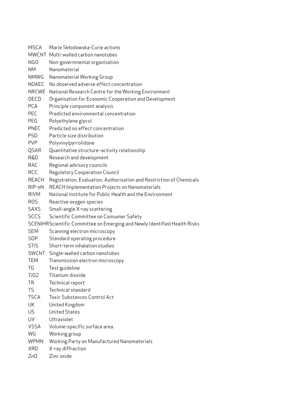- MSCA Marie Skłodowska-Curie actions
- MWCNT Multi-walled carbon nanotubes
- NGO Non-governmental organisation
- NM Nanomaterial
- NMWG Nanomaterial Working Group
- NOAEC No observed adverse effect concentration
- NRCWE National Research Centre for the Working Environment
- OECD Organisation for Economic Cooperation and Development
- PCA Principle component analysis
- PEC Predicted environmental concentration
- PEG Polyethylene glycol
- PNEC Predicted no effect concentration
- PSD Particle size distribution
- PVP Polyvinylpyrrolidone
- QSAR Quantitative structure–activity relationship
- R&D Research and development
- RAC Regional advisory councils
- RCC Regulatory Cooperation Council
- REACH Registration, Evaluation, Authorisation and Restriction of Chemicals
- RIP-oN REACH Implementation Projects on Nanomaterials
- RIVM National Institute for Public Health and the Environment
- ROS Reactive oxygen species
- SAXS Small-angle X-ray scattering
- SCCS Scientific Committee on Consumer Safety
- SCENIHRScientific Committee on Emerging and Newly Identified Health Risks
- SEM Scanning electron microscopy
- SOP Standard operating procedure
- STIS Short-term inhalation studies
- SWCNT Single-walled carbon nanotubes
- TEM Transmission electron microscopy
- TG Test guideline
- TiO2 Titanium dioxide
- TR Technical report
- TS Technical standard
- TSCA Toxic Substances Control Act
- UK United Kingdom
- US United States
- UV Ultraviolet
- VSSA Volume-specific surface area
- WG Working group
- WPMN Working Party on Manufactured Nanomaterials
- XRD X-ray diffraction
- ZnO Zinc oxide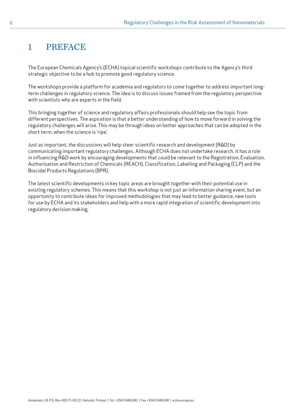# <span id="page-5-0"></span>1 PREFACE

The European Chemicals Agency's (ECHA) topical scientific workshops contribute to the Agency's third strategic objective to be a hub to promote good regulatory science.

The workshops provide a platform for academia and regulators to come together to address important longterm challenges in regulatory science. The idea is to discuss issues framed from the regulatory perspective with scientists who are experts in the field.

This bringing together of science and regulatory affairs professionals should help see the topic from different perspectives. The aspiration is that a better understanding of how to move forward in solving the regulatory challenges will arise. This may be through ideas on better approaches that can be adopted in the short term, when the science is 'ripe'.

Just as important, the discussions will help steer scientific research and development (R&D) by communicating important regulatory challenges. Although ECHA does not undertake research, it has a role in influencing R&D work by encouraging developments that could be relevant to the Registration, Evaluation, Authorisation and Restriction of Chemicals (REACH), Classification, Labelling and Packaging (CLP) and the Biocidal Products Regulations (BPR).

The latest scientific developments in key topic areas are brought together with their potential use in existing regulatory schemes. This means that this workshop is not just an information sharing event, but an opportunity to contribute ideas for improved methodologies that may lead to better guidance, new tools for use by ECHA and its stakeholders and help with a more rapid integration of scientific development into regulatory decision making.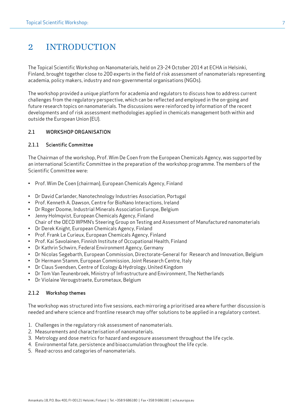# <span id="page-6-0"></span>2 INTRODUCTION

The Topical Scientific Workshop on Nanomaterials, held on 23-24 October 2014 at ECHA in Helsinki, Finland, brought together close to 200 experts in the field of risk assessment of nanomaterials representing academia, policy makers, industry and non-governmental organisations (NGOs).

The workshop provided a unique platform for academia and regulators to discuss how to address current challenges from the regulatory perspective, which can be reflected and employed in the on-going and future research topics on nanomaterials. The discussions were reinforced by information of the recent developments and of risk assessment methodologies applied in chemicals management both within and outside the European Union (EU).

### 2.1 WORKSHOP ORGANISATION

### 2.1.1 Scientific Committee

The Chairman of the workshop, Prof. Wim De Coen from the European Chemicals Agency, was supported by an international Scientific Committee in the preparation of the workshop programme. The members of the Scientific Committee were:

- Prof. Wim De Coen (chairman), European Chemicals Agency, Finland
- Dr David Carlander, Nanotechnology Industries Association, Portugal
- Prof. Kenneth A. Dawson, Centre for BioNano Interactions, Ireland
- Dr Roger Doome, Industrial Minerals Association Europe, Belgium
- Jenny Holmqvist, European Chemicals Agency, Finland Chair of the OECD WPMN's Steering Group on Testing and Assessment of Manufactured nanomaterials
- Dr Derek Knight, European Chemicals Agency, Finland
- Prof. Frank Le Curieux, European Chemicals Agency, Finland
- Prof. Kai Savolainen, Finnish Institute of Occupational Health, Finland
- Dr Kathrin Schwirn, Federal Environment Agency, Germany
- Dr Nicolas Segebarth, European Commission, Directorate-General for Research and Innovation, Belgium
- Dr Hermann Stamm, European Commission, Joint Research Centre, Italy
- Dr Claus Svendsen, Centre of Ecology & Hydrology, United Kingdom
- Dr Tom Van Teunenbroek, Ministry of Infrastructure and Environment, The Netherlands
- Dr Violaine Verougstraete, Eurometaux, Belgium

### 2.1.2 Workshop themes

The workshop was structured into five sessions, each mirroring a prioritised area where further discussion is needed and where science and frontline research may offer solutions to be applied in a regulatory context.

- 1. Challenges in the regulatory risk assessment of nanomaterials.
- 2. Measurements and characterisation of nanomaterials.
- 3. Metrology and dose metrics for hazard and exposure assessment throughout the life cycle.
- 4. Environmental fate, persistence and bioaccumulation throughout the life cycle.
- 5. Read-across and categories of nanomaterials.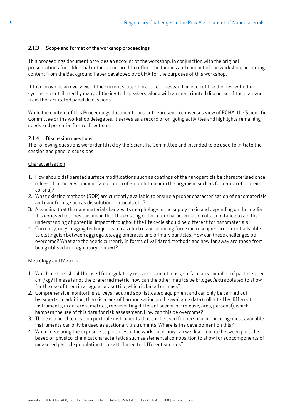# 2.1.3 Scope and format of the workshop proceedings

This proceedings document provides an account of the workshop, in conjunction with the original presentations for additional detail, structured to reflect the themes and conduct of the workshop, and citing content from the Background Paper developed by ECHA for the purposes of this workshop.

It then provides an overview of the current state of practice or research in each of the themes, with the synopses contributed by many of the invited speakers, along with an unattributed discourse of the dialogue from the facilitated panel discussions.

While the content of this Proceedings document does not represent a consensus view of ECHA, the Scientific Committee or the workshop delegates, it serves as a record of on-going activities and highlights remaining needs and potential future directions.

### 2.1.4 Discussion questions

The following questions were identified by the Scientific Committee and intended to be used to initiate the session and panel discussions:

#### Characterisation

- 1. How should deliberated surface modifications such as coatings of the nanoparticle be characterised once released in the environment (absorption of air pollution or in the organism such as formation of protein corona)?
- 2. What existing methods (SOP) are currently available to ensure a proper characterisation of nanomaterials and nanoforms, such as dissolution protocols etc.?
- 3. Assuming that the nanomaterial changes its morphology in the supply chain and depending on the media it is exposed to, does this mean that the existing criteria for characterisation of a substance to aid the understanding of potential impact throughout the life cycle should be different for nanomaterials?
- 4. Currently, only imaging techniques such as electro and scanning force microscopies are potentially able to distinguish between aggregates, agglomerates and primary particles. How can these challenges be overcome? What are the needs currently in forms of validated methods and how far away are those from being utilised in a regulatory context?

#### Metrology and Metrics

- 1. Which metrics should be used for regulatory risk assessment mass, surface area, number of particles per  $cm^3/kg$ ? If mass is not the preferred metric, how can the other metrics be bridged/extrapolated to allow for the use of them in a regulatory setting which is based on mass?
- 2. Comprehensive monitoring surveys required sophisticated equipment and can only be carried out by experts. In addition, there is a lack of harmonisation on the available data (collected by different instruments, in different metrics, representing different scenarios: release, area, personal), which hampers the use of this data for risk assessment. How can this be overcome?
- 3. There is a need to develop portable instruments that can be used for personal monitoring; most available instruments can only be used as stationary instruments. Where is the development on this?
- 4. When measuring the exposure to particles in the workplace, how can we discriminate between particles based on physico-chemical characteristics such as elemental composition to allow for subcomponents of measured particle population to be attributed to different sources?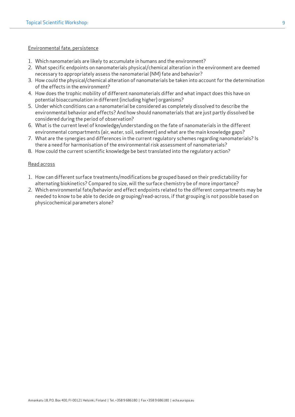#### Environmental fate, persistence

- 1. Which nanomaterials are likely to accumulate in humans and the environment?
- 2. What specific endpoints on nanomaterials physical/chemical alteration in the environment are deemed necessary to appropriately assess the nanomaterial (NM) fate and behavior?
- 3. How could the physical/chemical alteration of nanomaterials be taken into account for the determination of the effects in the environment?
- 4. How does the trophic mobility of different nanomaterials differ and what impact does this have on potential bioaccumulation in different (including higher) organisms?
- 5. Under which conditions can a nanomaterial be considered as completely dissolved to describe the environmental behavior and effects? And how should nanomaterials that are just partly dissolved be considered during the period of observation?
- 6. What is the current level of knowledge/understanding on the fate of nanomaterials in the different environmental compartments (air, water, soil, sediment) and what are the main knowledge gaps?
- 7. What are the synergies and differences in the current regulatory schemes regarding nanomaterials? Is there a need for harmonisation of the environmental risk assessment of nanomaterials?
- 8. How could the current scientific knowledge be best translated into the regulatory action?

#### Read across

- 1. How can different surface treatments/modifications be grouped based on their predictability for alternating biokinetics? Compared to size, will the surface chemistry be of more importance?
- 2. Which environmental fate/behavior and effect endpoints related to the different compartments may be needed to know to be able to decide on grouping/read-across, if that grouping is not possible based on physicochemical parameters alone?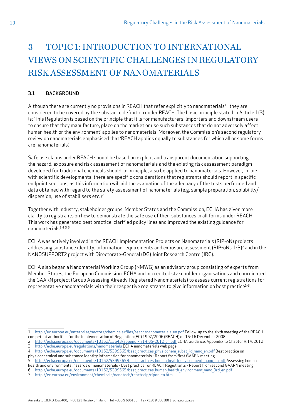# <span id="page-9-0"></span>3 TOPIC 1: INTRODUCTION TO INTERNATIONAL VIEWS ON SCIENTIFIC CHALLENGES IN REGULATORY RISK ASSESSMENT OF NANOMATERIALS

## 3.1 BACKGROUND

Although there are currently no provisions in REACH that refer explicitly to nanomaterials<sup>1</sup>, they are considered to be covered by the substance definition under REACH. The basic principle stated in Article 1(3) is: 'This Regulation is based on the principle that it is for manufacturers, importers and downstream users to ensure that they manufacture, place on the market or use such substances that do not adversely affect human health or the environment' applies to nanomaterials. Moreover, the Commission's second regulatory review on nanomaterials emphasised that 'REACH applies equally to substances for which all or some forms are nanomaterials'.

Safe use claims under REACH should be based on explicit and transparent documentation supporting the hazard, exposure and risk assessment of nanomaterials and the existing risk assessment paradigm developed for traditional chemicals should, in principle, also be applied to nanomaterials. However, in line with scientific developments, there are specific considerations that registrants should report in specific endpoint sections, as this information will aid the evaluation of the adequacy of the tests performed and data obtained with regard to the safety assessment of nanomaterials (e.g. sample preparation, solubility/ dispersion, use of stabilisers etc.) $2$ 

Together with industry, stakeholder groups, Member States and the Commission, ECHA has given more clarity to registrants on how to demonstrate the safe use of their substances in all forms under REACH. This work has generated best practice, clarified policy lines and improved the existing guidance for nanomaterials3 <sup>4</sup> <sup>5</sup> <sup>6</sup>

ECHA was actively involved in the REACH Implementation Projects on Nanomaterials (RIP-oN) projects addressing substance identity, information requirements and exposure assessment (RIP-oNs 1-3)<sup>7</sup> and in the NANOSUPPORT2 project with Directorate-General (DG) Joint Research Centre (JRC).

ECHA also began a Nanomaterial Working Group (NMWG) as an advisory group consisting of experts from Member States, the European Commission, ECHA and accredited stakeholder organisations and coordinated the GAARN project (Group Assessing Already Registered Nanomaterials) to assess current registrations for representative nanomaterials with their respective registrants to give information on best practice<sup>3-6</sup>.

<sup>1</sup> [http://ec.europa.eu/enterprise/sectors/chemicals/files/reach/nanomaterials\\_en.pdf](http://ec.europa.eu/enterprise/sectors/chemicals/files/reach/nanomaterials_en.pdf ) Follow-up to the sixth meeting of the REACH competent authorities for the implementation of Regulation (EC) 1907/2006 (REACH) on 15-16 December 2008

<sup>2</sup> [http://echa.europa.eu/documents/10162/13643/appendix\\_r14\\_05-2012\\_en.pdf](http://echa.europa.eu/documents/10162/13643/appendix_r14_05-2012_en.pdf) ECHA Guidance, Appendix to Chapter R.14, 2012 3 <http://echa.europa.eu/regulations/nanomaterials> ECHA nanomaterials web page

<sup>4</sup> http://echa.europa.eu/documents/10162/5399565/best\_practices\_physiochem\_subst\_id\_nano\_en.pdf Best practice on physicochemical and substance identity information for nanomaterials - Report from first GAARN meeting

<sup>5</sup> http://echa.europa.eu/documents/10162/5399565/best\_practices\_human\_health\_environment\_nano\_en.pdf Assessing human health and environmental hazards of nanomaterials - Best practice for REACH Registrants - Report from second GAARN meeting

<sup>6</sup> [http://echa.europa.eu/documents/10162/5399565/best\\_practices\\_human\\_health\\_environment\\_nano\\_3rd\\_en.pdf](http://echa.europa.eu/documents/10162/5399565/best_practices_human_health_environment_nano_3rd_en.pdf)

<sup>7</sup> [http://ec.europa.eu/environment/chemicals/nanotech/reach-clp/ripon\\_en.htm](http://ec.europa.eu/environment/chemicals/nanotech/reach-clp/ripon_en.htm)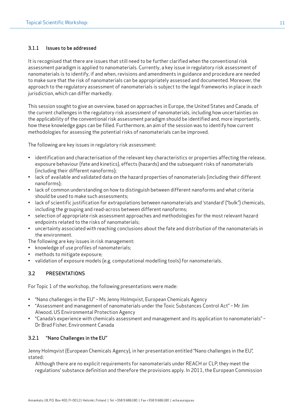### 3.1.1 Issues to be addressed

It is recognised that there are issues that still need to be further clarified when the conventional risk assessment paradigm is applied to nanomaterials. Currently, a key issue in regulatory risk assessment of nanomaterials is to identify, if and when, revisions and amendments in guidance and procedure are needed to make sure that the risk of nanomaterials can be appropriately assessed and documented. Moreover, the approach to the regulatory assessment of nanomaterials is subject to the legal frameworks in place in each jurisdiction, which can differ markedly.

This session sought to give an overview, based on approaches in Europe, the United States and Canada, of the current challenges in the regulatory risk assessment of nanomaterials, including how uncertainties on the applicability of the conventional risk assessment paradigm should be identified and, more importantly, how these knowledge gaps can be filled. Furthermore, an aim of the session was to identify how current methodologies for assessing the potential risks of nanomaterials can be improved.

The following are key issues in regulatory risk assessment:

- identification and characterisation of the relevant key characteristics or properties affecting the release, exposure behaviour (fate and kinetics), effects (hazards) and the subsequent risks of nanomaterials (including their different nanoforms);
- lack of available and validated data on the hazard properties of nanomaterials (including their different nanoforms);
- lack of common understanding on how to distinguish between different nanoforms and what criteria should be used to make such assessments;
- lack of scientific justification for extrapolations between nanomaterials and 'standard' ("bulk") chemicals, including the grouping and read-across between different nanoforms;
- selection of appropriate risk assessment approaches and methodologies for the most relevant hazard endpoints related to the risks of nanomaterials;
- uncertainty associated with reaching conclusions about the fate and distribution of the nanomaterials in the environment.
- The following are key issues in risk management:
- knowledge of use profiles of nanomaterials;
- methods to mitigate exposure;
- validation of exposure models (e.g. computational modelling tools) for nanomaterials.

### 3.2 PRESENTATIONS

For Topic 1 of the workshop, the following presentations were made:

- "Nano challenges in the EU" Ms Jenny Holmqvist, European Chemicals Agency
- "Assessment and management of nanomaterials under the Toxic Substances Control Act" Mr Jim Alwood, US Environmental Protection Agency
- "Canada's experience with chemicals assessment and management and its application to nanomaterials" Dr Brad Fisher, Environment Canada

### 3.2.1 "Nano Challenges in the EU"

Jenny Holmqvist (European Chemicals Agency), in her presentation entitled "Nano challenges in the EU", stated:

Although there are no explicit requirements for nanomaterials under REACH or CLP, they meet the regulations' substance definition and therefore the provisions apply. In 2011, the European Commission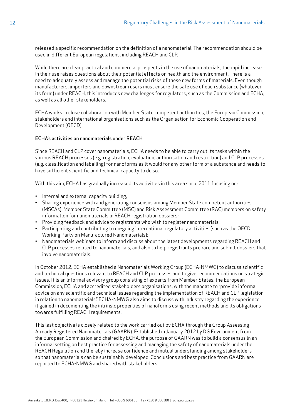released a specific recommendation on the definition of a nanomaterial. The recommendation should be used in different European regulations, including REACH and CLP.

While there are clear practical and commercial prospects in the use of nanomaterials, the rapid increase in their use raises questions about their potential effects on health and the environment. There is a need to adequately assess and manage the potential risks of these new forms of materials. Even though manufacturers, importers and downstream users must ensure the safe use of each substance (whatever its form) under REACH, this introduces new challenges for regulators, such as the Commission and ECHA, as well as all other stakeholders.

ECHA works in close collaboration with Member State competent authorities, the European Commission, stakeholders and international organisations such as the Organisation for Economic Cooperation and Development (OECD).

#### ECHA's activities on nanomaterials under REACH

Since REACH and CLP cover nanomaterials, ECHA needs to be able to carry out its tasks within the various REACH processes (e.g. registration, evaluation, authorisation and restriction) and CLP processes (e.g. classification and labelling) for nanoforms as it would for any other form of a substance and needs to have sufficient scientific and technical capacity to do so.

With this aim, ECHA has gradually increased its activities in this area since 2011 focusing on:

- Internal and external capacity building;
- Sharing experience with and generating consensus among Member State competent authorities (MSCAs), Member State Committee (MSC) and Risk Assessment Committee (RAC) members on safety information for nanomaterials in REACH registration dossiers;
- Providing feedback and advice to registrants who wish to register nanomaterials;
- Participating and contributing to on-going international regulatory activities (such as the OECD Working Party on Manufactured Nanomaterials);
- Nanomaterials webinars to inform and discuss about the latest developments regarding REACH and CLP processes related to nanomaterials, and also to help registrants prepare and submit dossiers that involve nanomaterials.

In October 2012, ECHA established a Nanomaterials Working Group (ECHA-NMWG) to discuss scientific and technical questions relevant to REACH and CLP processes and to give recommendations on strategic issues. It is an informal advisory group consisting of experts from Member States, the European Commission, ECHA and accredited stakeholders organisations, with the mandate to "provide informal advice on any scientific and technical issues regarding the implementation of REACH and CLP legislation in relation to nanomaterials." ECHA-NMWG also aims to discuss with industry regarding the experience it gained in documenting the intrinsic properties of nanoforms using recent methods and its obligations towards fulfilling REACH requirements.

This last objective is closely related to the work carried out by ECHA through the Group Assessing Already Registered Nanomaterials (GAARN). Established in January 2012 by DG Environment from the European Commission and chaired by ECHA, the purpose of GAARN was to build a consensus in an informal setting on best practice for assessing and managing the safety of nanomaterials under the REACH Regulation and thereby increase confidence and mutual understanding among stakeholders so that nanomaterials can be sustainably developed. Conclusions and best practice from GAARN are reported to ECHA-NMWG and shared with stakeholders.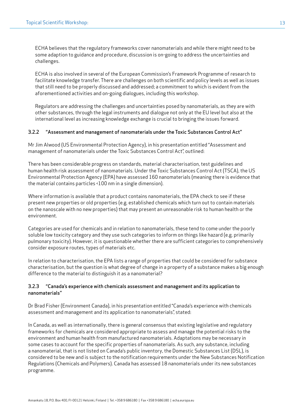ECHA believes that the regulatory frameworks cover nanomaterials and while there might need to be some adaption to guidance and procedure, discussion is on-going to address the uncertainties and challenges.

ECHA is also involved in several of the European Commission's Framework Programme of research to facilitate knowledge transfer. There are challenges on both scientific and policy levels as well as issues that still need to be properly discussed and addressed; a commitment to which is evident from the aforementioned activities and on-going dialogues, including this workshop.

Regulators are addressing the challenges and uncertainties posed by nanomaterials, as they are with other substances, through the legal instruments and dialogue not only at the EU level but also at the international level as increasing knowledge exchange is crucial to bringing the issues forward.

#### 3.2.2 "Assessment and management of nanomaterials under the Toxic Substances Control Act"

Mr Jim Alwood (US Environmental Protection Agency), in his presentation entitled "Assessment and management of nanomaterials under the Toxic Substances Control Act", outlined:

There has been considerable progress on standards, material characterisation, test guidelines and human health risk assessment of nanomaterials. Under the Toxic Substances Control Act (TSCA), the US Environmental Protection Agency (EPA) have assessed 160 nanomaterials (meaning there is evidence that the material contains particles <100 nm in a single dimension).

Where information is available that a product contains nanomaterials, the EPA check to see if these present new properties or old properties (e.g. established chemicals which turn out to contain materials on the nanoscale with no new properties) that may present an unreasonable risk to human health or the environment.

Categories are used for chemicals and in relation to nanomaterials, these tend to come under the poorly soluble low toxicity category and they use such categories to inform on things like hazard (e.g. primarily pulmonary toxicity). However, it is questionable whether there are sufficient categories to comprehensively consider exposure routes, types of materials etc.

In relation to characterisation, the EPA lists a range of properties that could be considered for substance characterisation, but the question is what degree of change in a property of a substance makes a big enough difference to the material to distinguish it as a nanomaterial?

#### 3.2.3 "Canada's experience with chemicals assessment and management and its application to nanomaterials"

Dr Brad Fisher (Environment Canada), in his presentation entitled "Canada's experience with chemicals assessment and management and its application to nanomaterials", stated:

In Canada, as well as internationally, there is general consensus that existing legislative and regulatory frameworks for chemicals are considered appropriate to assess and manage the potential risks to the environment and human health from manufactured nanomaterials. Adaptations may be necessary in some cases to account for the specific properties of nanomaterials. As such, any substance, including a nanomaterial, that is not listed on Canada's public inventory, the Domestic Substances List (DSL), is considered to be new and is subject to the notification requirements under the New Substances Notification Regulations (Chemicals and Polymers). Canada has assessed 18 nanomaterials under its new substances programme.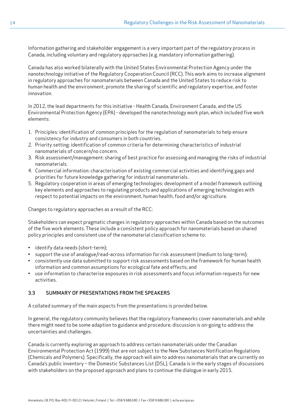Information gathering and stakeholder engagement is a very important part of the regulatory process in Canada, including voluntary and regulatory approaches (e.g. mandatory information gathering).

Canada has also worked bilaterally with the United States Environmental Protection Agency under the nanotechnology initiative of the Regulatory Cooperation Council (RCC). This work aims to increase alignment in regulatory approaches for nanomaterials between Canada and the United States to reduce risk to human health and the environment, promote the sharing of scientific and regulatory expertise, and foster innovation.

In 2012, the lead departments for this initiative - Health Canada, Environment Canada, and the US Environmental Protection Agency (EPA) - developed the nanotechnology work plan, which included five work elements:

- 1. Principles: identification of common principles for the regulation of nanomaterials to help ensure consistency for industry and consumers in both countries.
- 2. Priority setting: identification of common criteria for determining characteristics of industrial nanomaterials of concern/no concern.
- 3. Risk assessment/management: sharing of best practice for assessing and managing the risks of industrial nanomaterials.
- 4. Commercial information: characterisation of existing commercial activities and identifying gaps and priorities for future knowledge gathering for industrial nanomaterials.
- 5. Regulatory cooperation in areas of emerging technologies: development of a model framework outlining key elements and approaches to regulating products and applications of emerging technologies with respect to potential impacts on the environment, human health, food and/or agriculture.

Changes to regulatory approaches as a result of the RCC:

Stakeholders can expect pragmatic changes in regulatory approaches within Canada based on the outcomes of the five work elements. These include a consistent policy approach for nanomaterials based on shared policy principles and consistent use of the nanomaterial classification scheme to:

- identify data needs (short-term);
- support the use of analogue/read-across information for risk assessment (medium to long-term);
- consistently use data submitted to support risk assessments based on the framework for human health information and common assumptions for ecological fate and effects; and
- use information to characterise exposures in risk assessments and focus information requests for new activities.

### 3.3 SUMMARY OF PRESENTATIONS FROM THE SPEAKERS

A collated summary of the main aspects from the presentations is provided below.

In general, the regulatory community believes that the regulatory frameworks cover nanomaterials and while there might need to be some adaption to guidance and procedure; discussion is on-going to address the uncertainties and challenges.

Canada is currently exploring an approach to address certain nanomaterials under the Canadian Environmental Protection Act (1999) that are not subject to the New Substances Notification Regulations (Chemicals and Polymers). Specifically, the approach will aim to address nanomaterials that are currently on Canada's public inventory – the Domestic Substances List (DSL). Canada is in the early stages of discussions with stakeholders on the proposed approach and plans to continue the dialogue in early 2015.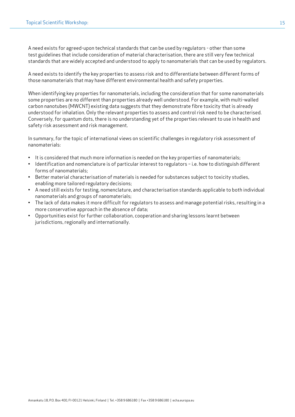A need exists for agreed-upon technical standards that can be used by regulators - other than some test guidelines that include consideration of material characterisation, there are still very few technical standards that are widely accepted and understood to apply to nanomaterials that can be used by regulators.

A need exists to identify the key properties to assess risk and to differentiate between different forms of those nanomaterials that may have different environmental health and safety properties.

When identifying key properties for nanomaterials, including the consideration that for some nanomaterials some properties are no different than properties already well understood. For example, with multi-walled carbon nanotubes (MWCNT) existing data suggests that they demonstrate fibre toxicity that is already understood for inhalation. Only the relevant properties to assess and control risk need to be characterised. Conversely, for quantum dots, there is no understanding yet of the properties relevant to use in health and safety risk assessment and risk management.

In summary, for the topic of international views on scientific challenges in regulatory risk assessment of nanomaterials:

- It is considered that much more information is needed on the key properties of nanomaterials;
- Identification and nomenclature is of particular interest to regulators i.e. how to distinguish different forms of nanomaterials;
- Better material characterisation of materials is needed for substances subject to toxicity studies, enabling more tailored regulatory decisions;
- A need still exists for testing, nomenclature, and characterisation standards applicable to both individual nanomaterials and groups of nanomaterials;
- The lack of data makes it more difficult for regulators to assess and manage potential risks, resulting in a more conservative approach in the absence of data;
- Opportunities exist for further collaboration, cooperation and sharing lessons learnt between jurisdictions, regionally and internationally.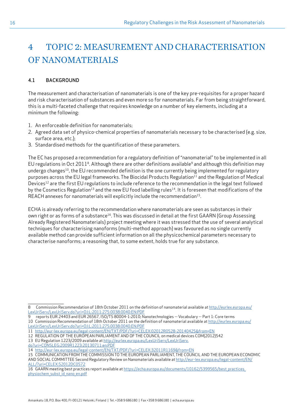# <span id="page-15-0"></span>4 TOPIC 2: MEASUREMENT AND CHARACTERISATION OF NANOMATERIALS

#### 4.1 BACKGROUND

The measurement and characterisation of nanomaterials is one of the key pre-requisites for a proper hazard and risk characterisation of substances and even more so for nanomaterials. Far from being straightforward, this is a multi-faceted challenge that requires knowledge on a number of key elements, including at a minimum the following:

- 1. An enforceable definition for nanomaterials;
- 2. Agreed data set of physico-chemical properties of nanomaterials necessary to be characterised (e.g. size, surface area, etc.);
- 3. Standardised methods for the quantification of these parameters.

The EC has proposed a recommendation for a regulatory definition of "nanomaterial" to be implemented in all EU regulations in Oct 2011<sup>8</sup>. Although there are other definitions available<sup>9</sup> and although this definition may undergo changes<sup>10</sup>, the EU recommended definition is the one currently being implemented for regulatory purposes across the EU legal frameworks. The Biocidal Products Regulation<sup>11</sup> and the Regulation of Medical Devices<sup>12</sup> are the first EU regulations to include reference to the recommendation in the legal text followed by the Cosmetics Regulation<sup>13</sup> and the new EU food labelling rules<sup>14</sup>. It is foreseen that modifications of the REACH annexes for nanomaterials will explicitly include the recommendation<sup>15</sup>.

ECHA is already referring to the recommendation where nanomaterials are seen as substances in their own right or as forms of a substance<sup>16</sup>. This was discussed in detail at the first GAARN (Group Assessing Already Registered Nanomaterials) project meeting where it was stressed that the use of several analytical techniques for characterising nanoforms (multi-method approach) was favoured as no single currently available method can provide sufficient information on all the physicochemical parameters necessary to characterise nanoforms; a reasoning that, to some extent, holds true for any substance.

- 12 REGULATION OF THE EUROPEAN PARLIAMENT AND OF THE COUNCIL on medical devices COM(2012)542
- 13 EU Regulation 1223/2009 available at [http://eurlex.europa.eu/LexUriServ/LexUriServ.](http://eurlex.europa.eu/LexUriServ/LexUriServ.do?uri=CONSLEG:2009R1223:20130711:en:PDF)
- [do?uri=CONSLEG:2009R1223:20130711:en:PDF](http://eurlex.europa.eu/LexUriServ/LexUriServ.do?uri=CONSLEG:2009R1223:20130711:en:PDF)
- 14 <http://eur-lex.europa.eu/legal-content/EN/TXT/PDF/?uri=CELEX:32011R1169&from=EN>

<sup>8</sup> Commission Recommendation of 18th October 2011 on the definition of nanomaterial available at [http://eurlex.europa.eu/](http://eurlex.europa.eu/LexUriServ/LexUriServ.do?uri=OJ:L:2011:275:0038:0040:EN:PDF) [LexUriServ/LexUriServ.do?uri=OJ:L:2011:275:0038:0040:EN:PDF](http://eurlex.europa.eu/LexUriServ/LexUriServ.do?uri=OJ:L:2011:275:0038:0040:EN:PDF)

<sup>9</sup> reports EUR 24403 and EUR 26567, ISO/TS 80004-1:2010; Nanotechnologies -- Vocabulary -- Part 1: Core terms 10 Commission Recommendation of 18th October 2011 on the definition of nanomaterial available at [http://eurlex.europa.eu/](http://eurlex.europa.eu/LexUriServ/LexUriServ.do?uri=OJ:L:2011:275:0038:0040:EN:PDF) [LexUriServ/LexUriServ.do?uri=OJ:L:2011:275:0038:0040:EN:PDF](http://eurlex.europa.eu/LexUriServ/LexUriServ.do?uri=OJ:L:2011:275:0038:0040:EN:PDF)

<sup>11</sup> <http://eur-lex.europa.eu/legal-content/EN/TXT/PDF/?uri=CELEX:02012R0528-20140425&from=EN>

<sup>15</sup> COMMUNICATION FROM THE COMMISSION TO THE EUROPEAN PARLIAMENT, THE COUNCIL AND THE EUROPEAN ECONOMIC AND SOCIAL COMMITTEE Second Regulatory Review on Nanomaterials available at [http://eur-lex.europa.eu/legal-content/EN/](http://eur-lex.europa.eu/legal-content/EN/ALL/?uri=CELEX:52012DC0572) [ALL/?uri=CELEX:52012DC0572](http://eur-lex.europa.eu/legal-content/EN/ALL/?uri=CELEX:52012DC0572)

<sup>16</sup> GAARN meeting best practices report available at [https://echa.europa.eu/documents/10162/5399565/best\\_practices\\_](https://echa.europa.eu/documents/10162/5399565/best_practices_physiochem_subst_id_nano_en.pdf) [physiochem\\_subst\\_id\\_nano\\_en.pdf](https://echa.europa.eu/documents/10162/5399565/best_practices_physiochem_subst_id_nano_en.pdf)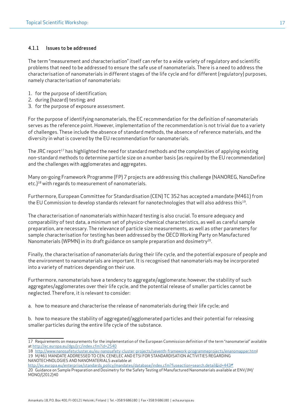#### 4.1.1 Issues to be addressed

The term "measurement and characterisation" itself can refer to a wide variety of regulatory and scientific problems that need to be addressed to ensure the safe use of nanomaterials. There is a need to address the characterisation of nanomaterials in different stages of the life cycle and for different (regulatory) purposes, namely characterisation of nanomaterials:

- 1. for the purpose of identification;
- 2. during (hazard) testing; and
- 3. for the purpose of exposure assessment.

For the purpose of identifying nanomaterials, the EC recommendation for the definition of nanomaterials serves as the reference point. However, implementation of the recommendation is not trivial due to a variety of challenges. These include the absence of standard methods, the absence of reference materials, and the diversity in what is covered by the EU recommendation for nanomaterials.

The JRC report<sup>17</sup> has highlighted the need for standard methods and the complexities of applying existing non-standard methods to determine particle size on a number basis (as required by the EU recommendation) and the challenges with agglomerates and aggregates.

Many on-going Framework Programme (FP) 7 projects are addressing this challenge (NANOREG, NanoDefine etc.)18 with regards to measurement of nanomaterials.

Furthermore, European Committee for Standardisation (CEN) TC 352 has accepted a mandate (M461) from the EU Commission to develop standards relevant for nanotechnologies that will also address this<sup>19</sup>.

The characterisation of nanomaterials within hazard testing is also crucial. To ensure adequacy and comparability of test data, a minimum set of physico-chemical characteristics, as well as careful sample preparation, are necessary. The relevance of particle size measurements, as well as other parameters for sample characterisation for testing has been addressed by the OECD Working Party on Manufactured Nanomaterials (WPMN) in its draft guidance on sample preparation and dosimetry<sup>20</sup>.

Finally, the characterisation of nanomaterials during their life cycle, and the potential exposure of people and the environment to nanomaterials are important. It is recognised that nanomaterials may be incorporated into a variety of matrices depending on their use.

Furthermore, nanomaterials have a tendency to aggregate/agglomerate; however, the stability of such aggregates/agglomerates over their life cycle, and the potential release of smaller particles cannot be neglected. Therefore, it is relevant to consider:

a. how to measure and characterise the release of nanomaterials during their life cycle; and

b. how to measure the stability of aggregated/agglomerated particles and their potential for releasing smaller particles during the entire life cycle of the substance.

<sup>17</sup> Requirements on measurements for the implementation of the European Commission definition of the term "nanomaterial" available at <http://ec.europa.eu/dgs/jrc/index.cfm?id=2540>

<sup>18</sup> [http://www.nanosafetycluster.eu/eu-nanosafety-cluster-projects/seventh-framework-programmeprojects/enanomapper.htm](http://www.nanosafetycluster.eu/eu-nanosafety-cluster-projects/seventh-framework-programmeprojects/e)l 19 M/461 MANDATE ADDRESSED TO CEN, CENELEC AND ETSI FOR STANDARDISATION ACTIVITIES REGARDING NANOTECHNOLOGIES AND NANOMATERIALS available at

[http://ec.europa.eu/enterprise/standards\\_policy/mandates/database/index.cfm?fuseaction=search.detail&id=443#](http://ec.europa.eu/enterprise/standards_policy/mandates/database/index.cfm?fuseaction=search.detail&id=443#
)

<sup>20</sup> Guidance on Sample Preparation and Dosimetry for the Safety Testing of Manufactured Nanomaterials available at ENV/JM/ MONO/(2012)40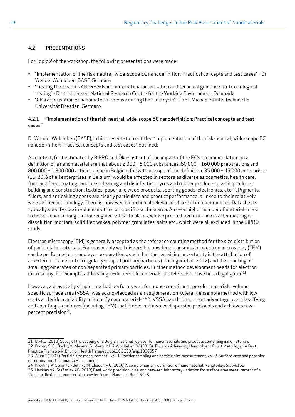# 4.2 PRESENTATIONS

For Topic 2 of the workshop, the following presentations were made:

- "Implementation of the risk-neutral, wide-scope EC nanodefinition: Practical concepts and test cases" Dr Wendel Wohlleben, BASF, Germany
- "Testing the test in NANoREG: Nanomaterial characterisation and technical guidance for toxicological testing" - Dr Keld Jensen, National Research Centre for the Working Environment, Denmark
- "Characterisation of nanomaterial release during their life cycle" Prof. Michael Stintz, Technische Universität Dresden, Germany

### 4.2.1 "Implementation of the risk-neutral, wide-scope EC nanodefinition: Practical concepts and test cases"

Dr Wendel Wohlleben (BASF), in his presentation entitled "Implementation of the risk-neutral, wide-scope EC nanodefinition: Practical concepts and test cases", outlined:

As context, first estimates by BiPRO and Öko-Institut of the impact of the EC's recommendation on a definition of a nanomaterial are that about 2 000 – 5 000 substances, 80 000 – 160 000 preparations and 800 000 – 1 300 000 articles alone in Belgium fall within scope of the definition. 35 000 – 45 000 enterprises (15-20% of all enterprises in Belgium) would be affected in sectors as diverse as cosmetics, health care, food and feed, coatings and inks, cleaning and disinfection, tyres and rubber products, plastic products, building and construction, textiles, paper and wood products, sporting goods, electronics, etc.<sup>21</sup>. Pigments, fillers, and anticaking agents are clearly particulate and product performance is linked to their relatively well-defined morphology. There is, however, no technical relevance of size in number metrics. Datasheets typically specify size in volume metrics or specific-surface area. An even higher number of materials need to be screened among the non-engineered particulates, whose product performance is after melting or dissolution: mortars, solidified waxes, polymer granulates, salts etc., which were all excluded in the BiPRO study.

Electron microscopy (EM) is generally accepted as the reference counting method for the size distribution of particulate materials. For reasonably well dispersible powders, transmission electron microscopy (TEM) can be performed on monolayer preparations, such that the remaining uncertainty is the attribution of an external diameter to irregularly-shaped primary particles (Linsinger et al. 2012) and the counting of small agglomerates of non-separated primary particles. Further method development needs for electron microscopy, for example, addressing in-dispersible materials, platelets, etc. have been highlighted $^{22}$ .

However, a drastically simpler method performs well for mono-constituent powder materials: volume specific surface area (VSSA) was acknowledged as an agglomeration-tolerant ensemble method with low costs and wide availability to identify nanomaterials<sup>23-24</sup>. VSSA has the important advantage over classifying and counting techniques (including TEM) that it does not involve dispersion protocols and achieves fewpercent precision<sup>25</sup>.

24 Kreyling W, Semmler-Behnke M, Chaudhry Q (2010) A complementary definition of nanomaterial. Nanotoday. 5:154:168

<sup>21</sup> BiPRO (2013) Study of the scoping of a Belgian national register for nanomaterials and products containing nanomaterials 22 Brown, S. C., Boyko, V., Meyers, G., Voetz, M., & Wohlleben, W. (2013). Towards Advancing Nano-object Count Metrology - A Best Practice Framework. Environ Health Perspect, doi:10.1289/ehp.1306957

<sup>23</sup> Allen T (1997) Particle size measurement - vol. 1: Powder sampling and particle size measurement. vol. 2: Surface area and pore size determination. Chapman & Hall, London

<sup>25</sup> Hackley VA, Stefaniak AB (2013) Real-world precision, bias, and between-laboratory variation for surface area measurement of a titanium dioxide nanomaterial in powder form. J Nanopart Res 15:1-8.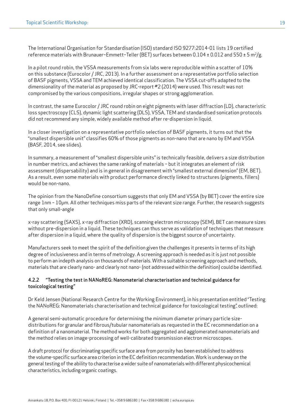The International Organisation for Standardisation (ISO) standard ISO 9277:2014-01 lists 19 certified reference materials with Brunauer–Emmett–Teller (BET) surfaces between  $0.104 \pm 0.012$  and  $550 \pm 5$  m<sup>2</sup>/g.

In a pilot round robin, the VSSA measurements from six labs were reproducible within a scatter of 10% on this substance (Eurocolor / JRC, 2013). In a further assessment on a representative portfolio selection of BASF pigments, VSSA and TEM achieved identical classification. The VSSA cut-offs adapted to the dimensionality of the material as proposed by JRC-report #2 (2014) were used. This result was not compromised by the various compositions, irregular shapes or strong agglomeration.

In contrast, the same Eurocolor / JRC round robin on eight pigments with laser diffraction (LD), characteristic loss spectroscopy (CLS), dynamic light scattering (DLS), VSSA, TEM and standardised sonication protocols did not recommend any simple, widely available method after re-dispersion in liquid.

In a closer investigation on a representative portfolio selection of BASF pigments, it turns out that the "smallest dispersible unit" classifies 60% of those pigments as non-nano that are nano by EM and VSSA (BASF, 2014, see slides).

In summary, a measurement of "smallest dispersible units" is technically feasible, delivers a size distribution in number metrics, and achieves the same ranking of materials – but it integrates an element of risk assessment (dispersability) and is in general in disagreement with "smallest external dimension" (EM, BET). As a result, even some materials with product performance directly linked to structures (pigments, fillers) would be non-nano.

The opinion from the NanoDefine consortium suggests that only EM and VSSA (by BET) cover the entire size range 1nm – 10µm. All other techniques miss parts of the relevant size range. Further, the research suggests that only small-angle

x-ray scattering (SAXS), x-ray diffraction (XRD), scanning electron microscopy (SEM), BET can measure sizes without pre-dispersion in a liquid. These techniques can thus serve as validation of techniques that measure after dispersion in a liquid, where the quality of dispersion is the biggest source of uncertainty.

Manufacturers seek to meet the spirit of the definition given the challenges it presents in terms of its high degree of inclusiveness and in terms of metrology. A screening approach is needed as it is just not possible to perform an indepth analysis on thousands of materials. With a suitable screening approach and methods, materials that are clearly nano- and clearly not nano- (not addressed within the definition) could be identified.

#### 4.2.2 "Testing the test in NANoREG: Nanomaterial characterisation and technical guidance for toxicological testing"

Dr Keld Jensen (National Research Centre for the Working Environment), in his presentation entitled "Testing the NANoREG: Nanomaterials characterisation and technical guidance for toxicological testing", outlined:

A general semi-automatic procedure for determining the minimum diameter primary particle sizedistributions for granular and fibrous/tubular nanomaterials as requested in the EC recommendation on a definition of a nanomaterial. The method works for both aggregated and agglomerated nanomaterials and the method relies on image-processing of well-calibrated transmission electron microscopes.

A draft protocol for discriminating specific surface area from porosity has been established to address the volume-specific surface area criterion in the EC definition recommendation. Work is underway on the general testing of the ability to characterise a wider suite of nanomaterials with different physicochemical characteristics, including organic coatings.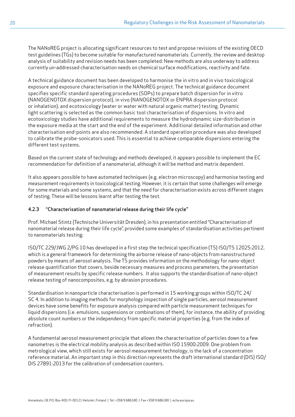The NANoREG project is allocating significant resources to test and propose revisions of the existing OECD test guidelines (TGs) to become suitable for manufactured nanomaterials. Currently, the review and desktop analysis of suitability and revision needs has been completed. New methods are also underway to address currently un-addressed characterisation needs on chemical surface modifications, reactivity and fate.

A technical guidance document has been developed to harmonise the in vitro and in vivo toxicological exposure and exposure characterisation in the NANoREG project. The technical guidance document specifies specific standard operating procedures (SOPs) to prepare batch dispersion for in vitro (NANOGENOTOX dispersion protocol), in vivo (NANOGENOTOX or ENPRA dispersion protocol or inhalation), and ecotoxicology (water or water with natural organic matter) testing. Dynamic light scattering is selected as the common basic tool characterisation of dispersions. In vitro and ecotoxicology studies have additional requirements to measure the hydrodynamic size-distribution in the exposure media at the start and the end of the experiment. Additional detailed information and other characterisation end-points are also recommended. A standard operation procedure was also developed to calibrate the probe-sonicators used. This is essential to achieve comparable dispersions entering the different test systems.

Based on the current state of technology and methods developed, it appears possible to implement the EC recommendation for definition of a nanomaterial, although it will be method and matrix dependent.

It also appears possible to have automated techniques (e.g. electron microscopy) and harmonise testing and measurement requirements in toxicological testing. However, it is certain that some challenges will emerge for some materials and some systems, and that the need for characterisation exists across different stages of testing. These will be lessons learnt after testing the test.

### 4.2.3 "Characterisation of nanomaterial release during their life cycle"

Prof. Michael Stintz (Technische Universität Dresden), in his presentation entitled "Characterisation of nanomaterial release during their life cycle", provided some examples of standardisation activities pertinent to nanomaterials testing:

ISO/TC 229/JWG 2/PG 10 has developed in a first step the technical specification (TS) ISO/TS 12025:2012, which is a general framework for determining the airborne release of nano-objects from nanostructured powders by means of aerosol analysis. The TS provides information on the methodology for nano-object release quantification that covers, beside necessary measures and process parameters, the presentation of measurement results by specific release numbers. It also supports the standardisation of nano-object release testing of nanocomposites, e.g. by abrasion procedures.

Standardisation in nanoparticle characterisation is performed in 15 working groups within ISO/TC 24/ SC 4. In addition to imaging methods for morphology inspection of single particles, aerosol measurement devices have some benefits for exposure analysis compared with particle measurement techniques for liquid dispersions (i.e. emulsions, suspensions or combinations of them), for instance, the ability of providing absolute count numbers or the independency from specific material properties (e.g. from the index of refraction).

A fundamental aerosol measurement principle that allows the characterisation of particles down to a few nanometres is the electrical mobility analysis as described within ISO 15900:2009. One problem from metrological view, which still exists for aerosol measurement technology, is the lack of a concentration reference material. An important step in this direction represents the draft international standard (DIS) ISO/ DIS 27891:2013 for the calibration of condensation counters.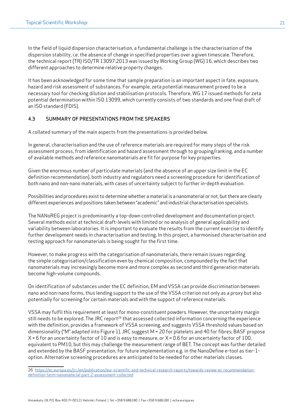In the field of liquid dispersion characterisation, a fundamental challenge is the characterisation of the dispersion stability, i.e. the absence of change in specified properties over a given timescale. Therefore, the technical report (TR) ISO/TR 13097:2013 was issued by Working Group (WG) 16, which describes two different approaches to determine relative property changes.

It has been acknowledged for some time that sample preparation is an important aspect in fate, exposure, hazard and risk assessment of substances. For example, zeta potential measurement proved to be a necessary tool for checking dilution and stabilisation protocols. Therefore, WG 17 issued methods for zeta potential determination within ISO 13099, which currently consists of two standards and one final draft of an ISO standard (FDIS).

## 4.3 SUMMARY OF PRESENTATIONS FROM THE SPEAKERS

A collated summary of the main aspects from the presentations is provided below.

In general, characterisation and the use of reference materials are required for many steps of the risk assessment process, from identification and hazard assessment through to grouping/ranking, and a number of available methods and reference nanomaterials are fit for purpose for key properties.

Given the enormous number of particulate materials (and the absence of an upper size limit in the EC definition recommendation), both industry and regulators need a screening procedure for identification of both nano and non-nano materials, with cases of uncertainty subject to further in-depth evaluation.

Possibilities and procedures exist to determine whether a material is a nanomaterial or not, but there are clearly different experiences and positions taken between "academic" and industrial characterisation specialists.

The NANoREG project is predominantly a top-down controlled development and documentation project. Several methods exist at technical draft-levels with limited or no analysis of general applicability and variability between laboratories. It is important to evaluate the results from the current exercise to identify further development needs in characterisation and testing. In this project, a harmonised characterisation and testing approach for nanomaterials is being sought for the first time.

However, to make progress with the categorisation of nanomaterials, there remain issues regarding the simple categorisation/classification even by chemical composition, compounded by the fact that nanomaterials may increasingly become more and more complex as second and third generation materials become high-volume compounds.

On identification of substances under the EC definition, EM and VSSA can provide discrimination between nano and non-nano forms, thus lending support to the use of the VSSA criterion not only as a proxy but also potentially for screening for certain materials and with the support of reference materials.

VSSA may fulfil this requirement at least for mono-constituent powders. However, the uncertainty margin still needs to be explored. The JRC report<sup>26</sup> that assessed collected information concerning the experience with the definition, provides a framework of VSSA screening, and suggests VSSA threshold values based on dimensionality ("M" adapted into Figure 1). JRC suggest M = 20 for platelets and 40 for fibres; BASF propose  $X = 6$  for an uncertainty factor of 10 and is easy to measure, or  $X = 0.6$  for an uncertainty factor of 100, equivalent to PM10, but this may challenge the measurement range of BET. The concept was further detailed and extended by the BASF presentation, for future implementation e.g. in the NanoDefine e-tool as tier-1 option. Alternative screening procedures are anticipated to be needed for other materials classes.

<sup>26</sup> [https://ec.europa.eu/jrc/en/publication/eur-scientific-and-technical-research-reports/towards-review-ec-recommendation](https://ec.europa.eu/jrc/en/publication/eur-scientific-and-technical-research-reports/towards-review-ec-recommendation-definition-term-nanomaterial-part-2-assessment-collected)[definition-term-nanomaterial-part-2-assessment-collected](https://ec.europa.eu/jrc/en/publication/eur-scientific-and-technical-research-reports/towards-review-ec-recommendation-definition-term-nanomaterial-part-2-assessment-collected)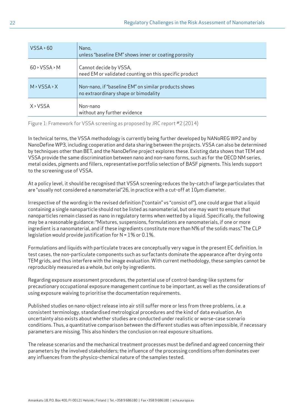| VSSA > 60       | Nano,<br>unless "baseline EM" shows inner or coating porosity                                |
|-----------------|----------------------------------------------------------------------------------------------|
| $60$ > VSSA > M | Cannot decide by VSSA,<br>need EM or validated counting on this specific product             |
| M > VSSA > X    | Non-nano, if "baseline EM" on similar products shows<br>no extraordinary shape or bimodality |
| X > VSSA        | Non-nano<br>without any further evidence                                                     |

Figure 1: Framework for VSSA screening as proposed by JRC report #2 (2014)

In technical terms, the VSSA methodology is currently being further developed by NANoREG WP2 and by NanoDefine WP3, including cooperation and data sharing between the projects. VSSA can also be determined by techniques other than BET, and the NanoDefine project explores these. Existing data shows that TEM and VSSA provide the same discrimination between nano and non-nano forms, such as for the OECD NM series, metal oxides, pigments and fillers, representative portfolio selection of BASF pigments. This lends support to the screening use of VSSA.

At a policy level, it should be recognised that VSSA screening reduces the by-catch of large particulates that are "usually not considered a nanomaterial"26, in practice with a cut-off at 10µm diameter.

Irrespective of the wording in the revised definition ("contain" vs "consist of"), one could argue that a liquid containing a single nanoparticle should not be listed as nanomaterial, but one may want to ensure that nanoparticles remain classed as nano in regulatory terms when wetted by a liquid. Specifically, the following may be a reasonable guidance: "Mixtures, suspensions, formulations are nanomaterials, if one or more ingredient is a nanomaterial, and if these ingredients constitute more than N% of the solids mass." The CLP legislation would provide justification for  $N = 1\%$  or 0.1%.

Formulations and liquids with particulate traces are conceptually very vague in the present EC definition. In test cases, the non-particulate components such as surfactants dominate the appearance after drying onto TEM grids, and thus interfere with the image evaluation. With current methodology, these samples cannot be reproducibly measured as a whole, but only by ingredients.

Regarding exposure assessment procedures, the potential use of control-banding-like systems for precautionary occupational exposure management continue to be important, as well as the considerations of using exposure waiving to prioritise the documentation requirements.

Published studies on nano-object release into air still suffer more or less from three problems, i.e. a consistent terminology, standardised metrological procedures and the kind of data evaluation. An uncertainty also exists about whether studies are conducted under realistic or worse-case scenario conditions. Thus, a quantitative comparison between the different studies was often impossible, if necessary parameters are missing. This also hinders the conclusion on real exposure situations.

The release scenarios and the mechanical treatment processes must be defined and agreed concerning their parameters by the involved stakeholders; the influence of the processing conditions often dominates over any influences from the physico-chemical nature of the samples tested.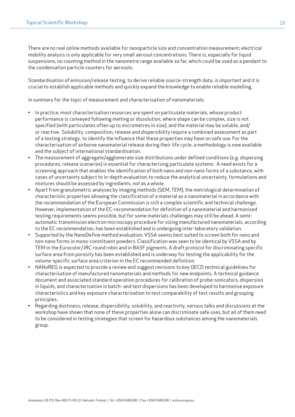There are no real online methods available for nanoparticle size and concentration measurement; electrical mobility analysis is only applicable for very small aerosol concentrations. There is, especially for liquid suspensions, no counting method in the nanometre range available so far, which could be used as a pendant to the condensation particle counters for aerosols.

Standardisation of emission/release testing, to derive reliable source-strength data, is important and it is crucial to establish applicable methods and quickly expand the knowledge to enable reliable modelling.

In summary for the topic of measurement and characterisation of nanomaterials:

- In practice, most characterisation resources are spent on particulate materials, whose product performance is conveyed following melting or dissolution, where shape can be complex, size is not specified (with particulates often up to micrometres in size), and the material may be soluble, and/ or reactive. Solubility, composition, release and dispersibility require a combined assessment as part of a testing strategy, to identify the influence that these properties may have on safe use. For the characterisation of airborne nanomaterial release during their life cycle, a methodology is now available and the subject of international standardisation.
- The measurement of aggregate/agglomerate size distributions under defined conditions (e.g. dispersing procedures, release scenarios) is essential for characterising particulate systems. A need exists for a screening approach that enables the identification of both nano and non-nano forms of a substance, with cases of uncertainty subject to in-depth evaluation; to reduce the analytical uncertainty, formulations and mixtures should be assessed by ingredients, not as a whole.
- Apart from granulometric analyses by imaging methods (SEM, TEM), the metrological determination of characteristic properties allowing the classification of a material as a nanomaterial in accordance with the recommendation of the European Commission is still a complex scientific and technical challenge. However, implementation of the EC-recommendation for definition of a nanomaterial and harmonised testing requirements seems possible, but for some materials challenges may still be ahead. A semiautomatic transmission electron microscopy procedure for sizing manufactured nanomaterials, according to the EC recommendation, has been established and is undergoing inter-laboratory validation.
- Supported by the NanoDefine method evaluation, VSSA seems best suited to screen both for nano and non-nano forms in mono-constituent powders. Classification was seen to be identical by VSSA and by TEM in the Eurocolor/JRC round robin and in BASF pigments. A draft protocol for discriminating specific surface area from porosity has been established and is underway for testing the applicability for the volume-specific surface area criterion in the EC recommended definition.
- NANoREG is expected to provide a review and suggest revisions to key OECD technical guidelines for characterisation of manufactured nanomaterials and methods for new endpoints. A technical guidance document and associated standard operation procedures for calibration of probe-sonicators, dispersion in liquids, and characterisation in batch- and test dispersions has been developed to harmonise exposure characteristics and key exposure characterisation to test comparability of test results and grouping principles.
- Regarding dustiness, release, dispersibility, solubility, and reactivity, various talks and discussions at the workshop have shown that none of these properties alone can discriminate safe uses, but all of them need to be considered in testing strategies that screen for hazardous substances among the nanomaterials group.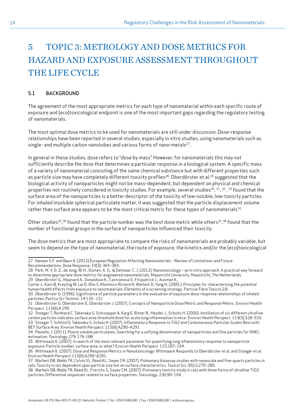# <span id="page-23-0"></span>5 TOPIC 3: METROLOGY AND DOSE METRICS FOR HAZARD AND EXPOSURE ASSESSMENT THROUGHOUT THE LIFE CYCLE

### 5.1 BACKGROUND

The agreement of the most appropriate metrics for each type of nanomaterial within each specific route of exposure and (eco)toxicological endpoint is one of the most important gaps regarding the regulatory testing of nanomaterials.

The most optimal dose metrics to be used for nanomaterials are still under discussion. Dose-response relationships have been reported in several studies, especially in vitro studies, using nanomaterials such as single- and multiple carbon nanotubes and various forms of nano-metals<sup>27</sup>.

In general in these studies, dose refers to "dose by mass". However, for nanomaterials this may not sufficiently describe the dose that determines a particular response in a biological system. A specific mass of a variety of nanomaterial consisting of the same chemical substance but with different properties such as particle size may have completely different toxicity profiles<sup>28</sup>. Oberdörster et al.<sup>29</sup> suggested that the biological activity of nanoparticles might not be mass-dependent, but dependent on physical and chemical properties not routinely considered in toxicity studies. For example, several studies<sup>30</sup>, <sup>31</sup>, <sup>32</sup>, <sup>33</sup> found that the surface area of the nanoparticles is a better descriptor of the toxicity of low-soluble, low-toxicity particles. For inhaled insoluble spherical particulate matter, it was suggested that the particle displacement volume rather than surface area appears to be the most critical metric for these types of nanomaterials<sup>34</sup>.

Other studies<sup>35</sup>,<sup>36</sup> found that the particle number was the best dose metric while others<sup>37</sup>,<sup>38</sup> found that the number of functional groups in the surface of nanoparticles influenced their toxicity.

The dose metrics that are most appropriate to compare the risks of nanomaterials are probably variable, but seem to depend on the type of nanomaterial, the route of exposure, the kinetics and/or the (eco)toxicological

<sup>27</sup> Hansen S.F. and Baun A. (2012) European Regulation Affecting Nanomaterials – Review of Limitations and Future Recommendations, Dose Response. 10(3): 364–383.

<sup>28</sup> Park, M. V. D. Z., de Jong, W. H., Oomen, A. G., & Delmaar, C. J. (2012). Nanotoxicology – an in vitro approach: A practical way forward to determine appropriate dose metrics for engineered nanomaterials. Maastricht University, Maastricht, The Netherlands.

<sup>29</sup> Oberdörster G., Maynard A., Donaldson K., Castranova V., Fitzpatrick J., Ausman K.,

Carter J., Karn B, Kreyling W, Lai D, Olin S, Monteiro-Riviere N, Warheit D, Yang H. (2005 ). Principles for characterising the potential human health effects from exposure to nanomaterials: Elements of a screening strategy. Particle Fibre Toxicol.2:8.

<sup>30</sup> Oberdörster G. (1996). Significance of particle parameters in the evaluation of exposure dose-response relationships of inhaled particles. Particu Sci Technol. 14:135– 151

<sup>31</sup> Oberdörster G, Oberdorster E, Oberdorster J. (2007). Concepts of Nanoparticle Dose Metric and Response Metric. Environ Health Perspect. 115(6):A 290

<sup>32</sup> Stoeger T, Reinhard C, Takenaka S, Schroeppel A, Karg E, Ritter B., Heyder J., Schultz H. (2006). Instillation of six different ultrafine carbon particles indicates surface area threshold dose for acute lung inflammation in mice. Environ Health Perspect. 114(3):328–333. 33 Stoeger T, Schmid O, Takenaka S, Schulz H. (2007). Inflammatory Response to TiO2 and Carbonaceous Particles Scales Best with BET Surface Area. Environ Health Perspect. 115(6):A290–A291.

<sup>34</sup> Pauluhn, J. (2011). Poorly soluble particulates: Searching for a unifying denominator of nanoparticles and fine particles for DNEL estimation. Toxicology 279: 176-188

<sup>35</sup> Wittmaack K. (2007). In search of the most relevant parameter for quantifying lung inflammatory response to nanoparticle exposure: Particle number, surface area, or what? Environ Health Perspect. 115:187–194.

<sup>36</sup> Wittmaack K. (2007). Dose and Response Metrics in Nanotoxicology: Wittmaack Responds to Oberdörster et al. and Stoeger et al. Environ Health Perspect.115(6):A290–A291.

<sup>37</sup> Warheit DB, Webb TR, Colvin VL, Reed KL, Sayes CR. (2007). Pulmonary bioassay studies with nanoscale and fine-quartz particles in rats: Toxicity is not dependent upon particle size but on surface characteristics. Toxicol Sci. 95(1):270–280.

<sup>38</sup> Warheit DB, Webb TR, Reed KL, Frerichs S, Sayes CM. (2007). Pulmonary toxicity study in rats with three forms of ultrafine-TiO2 particles: Differential responses related to surface properties. Toxicology. 230:90–104.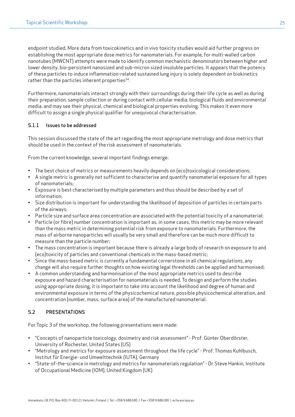endpoint studied. More data from toxicokinetics and in vivo toxicity studies would aid further progress on establishing the most appropriate dose metrics for nanomaterials. For example, for multi-walled carbon nanotubes (MWCNT) attempts were made to identify common mechanistic denominators between higher and lower density, bio-persistent nanosized and sub-micron sized insoluble particles. It appears that the potency of these particles to induce inflammation-related sustained lung injury is solely dependent on biokinetics rather than the particles inherent properties $34$ .

Furthermore, nanomaterials interact strongly with their surroundings during their life cycle as well as during their preparation, sample collection or during contact with cellular media, biological fluids and environmental media, and may see their physical, chemical and biological properties evolving. This makes it even more difficult to assign a single physical qualifier for unequivocal characterisation.

### 5.1.1 Issues to be addressed

This session discussed the state of the art regarding the most appropriate metrology and dose metrics that should be used in the context of the risk assessment of nanomaterials.

From the current knowledge, several important findings emerge:

- The best choice of metrics or measurements heavily depends on (eco)toxicological considerations;
- A single metric is generally not sufficient to characterise and quantify nanomaterial exposure for all types of nanomaterials;
- Exposure is best characterised by multiple parameters and thus should be described by a set of information;
- Size distribution is important for understanding the likelihood of deposition of particles in certain parts of the airways;
- Particle size and surface area concentration are associated with the potential toxicity of a nanomaterial;
- Particle (or fibre) number concentration is important as, in some cases, this metric may be more relevant than the mass metric in determining potential risk from exposure to nanomaterials. Furthermore, the mass of airborne nanoparticles will usually be very small and therefore can be much more difficult to measure than the particle number;
- The mass concentration is important because there is already a large body of research on exposure to and (eco)toxicity of particles and conventional chemicals in the mass-based metric;
- Since the mass-based metric is currently a fundamental cornerstone in all chemical regulations, any change will also require further thoughts on how existing legal thresholds can be applied and harmonised;
- A common understanding and harmonisation of the most appropriate metrics used to describe exposure and hazard characterisation for nanomaterials is needed. To design and perform the studies using appropriate dosing, it is important to take into account the likelihood and degree of human and environmental exposure in terms of the physicochemical nature, possible physicochemical alteration, and concentration (number, mass, surface area) of the manufactured nanomaterial.

### 5.2 PRESENTATIONS

For Topic 3 of the workshop, the following presentations were made:

- "Concepts of nanoparticle toxicology, dosimetry and risk assessment" Prof. Günter Oberdörster, University of Rochester, United States (US)
- "Metrology and metrics for exposure assessment throughout the life cycle" Prof. Thomas Kuhlbusch, Institut für Energie- und Umwelttechnik (IUTA), Germany
- "State-of-the-science in metrology and metrics for nanomaterials regulation" Dr Steve Hankin, Institute of Occupational Medicine (IOM), United Kingdom (UK)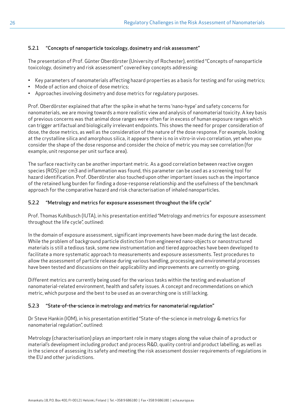# 5.2.1 "Concepts of nanoparticle toxicology, dosimetry and risk assessment"

The presentation of Prof. Günter Oberdörster (University of Rochester), entitled "Concepts of nanoparticle toxicology, dosimetry and risk assessment" covered key concepts addressing:

- Key parameters of nanomaterials affecting hazard properties as a basis for testing and for using metrics;
- Mode of action and choice of dose metrics;
- Approaches involving dosimetry and dose metrics for regulatory purposes.

Prof. Oberdörster explained that after the spike in what he terms 'nano-hype' and safety concerns for nanomaterials, we are moving towards a more realistic view and analysis of nanomaterial toxicity. A key basis of previous concerns was that animal dose ranges were often far in excess of human exposure ranges which can trigger artifactual and biologically irrelevant endpoints. This shows the need for proper consideration of dose, the dose metrics, as well as the consideration of the nature of the dose response. For example, looking at the crystalline silica and amorphous silica, it appears there is no in vitro-in vivo correlation, yet when you consider the shape of the dose response and consider the choice of metric you may see correlation (for example, unit response per unit surface area).

The surface reactivity can be another important metric. As a good correlation between reactive oxygen species (ROS) per cm3 and inflammation was found, this parameter can be used as a screening tool for hazard identification. Prof. Oberdörster also touched upon other important issues such as the importance of the retained lung burden for finding a dose-response relationship and the usefulness of the benchmark approach for the comparative hazard and risk characterisation of inhaled nanoparticles.

### 5.2.2 "Metrology and metrics for exposure assessment throughout the life cycle"

Prof. Thomas Kuhlbusch (IUTA), in his presentation entitled "Metrology and metrics for exposure assessment throughout the life cycle", outlined:

In the domain of exposure assessment, significant improvements have been made during the last decade. While the problem of background particle distinction from engineered nano-objects or nanostructured materials is still a tedious task, some new instrumentation and tiered approaches have been developed to facilitate a more systematic approach to measurements and exposure assessments. Test procedures to allow the assessment of particle release during various handling, processing and environmental processes have been tested and discussions on their applicability and improvements are currently on-going.

Different metrics are currently being used for the various tasks within the testing and evaluation of nanomaterial-related environment, health and safety issues. A concept and recommendations on which metric, which purpose and the best to be used as an overarching one is still lacking.

### 5.2.3 "State-of-the-science in metrology and metrics for nanomaterial regulation"

Dr Steve Hankin (IOM), in his presentation entitled "State-of-the-science in metrology & metrics for nanomaterial regulation", outlined:

Metrology (characterisation) plays an important role in many stages along the value chain of a product or material's development including product and process R&D, quality control and product labelling, as well as in the science of assessing its safety and meeting the risk assessment dossier requirements of regulations in the EU and other jurisdictions.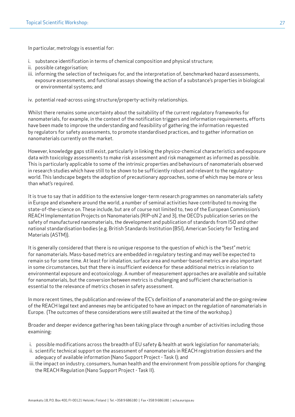In particular, metrology is essential for:

- i. substance identification in terms of chemical composition and physical structure;
- ii. possible categorisation;
- iii. informing the selection of techniques for, and the interpretation of, benchmarked hazard assessments, exposure assessments, and functional assays showing the action of a substance's properties in biological or environmental systems; and
- iv. potential read-across using structure/property-activity relationships.

Whilst there remains some uncertainty about the suitability of the current regulatory frameworks for nanomaterials, for example, in the context of the notification triggers and information requirements, efforts have been made to improve the understanding and feasibility of gathering the information requested by regulators for safety assessments, to promote standardised practices, and to gather information on nanomaterials currently on the market.

However, knowledge gaps still exist, particularly in linking the physico-chemical characteristics and exposure data with toxicology assessments to make risk assessment and risk management as informed as possible. This is particularly applicable to some of the intrinsic properties and behaviours of nanomaterials observed in research studies which have still to be shown to be sufficiently robust and relevant to the regulatoryworld. This landscape begets the adoption of precautionary approaches, some of which may be more or less than what's required.

It is true to say that in addition to the extensive longer-term research programmes on nanomaterials safety in Europe and elsewhere around the world, a number of seminal activities have contributed to moving the state-of-the-science on. These include, but are of course not limited to, two of the European Commission's REACH Implementation Projects on Nanomaterials (RIP-oN 2 and 3), the OECD's publication series on the safety of manufactured nanomaterials, the development and publication of standards from ISO and other national standardisation bodies (e.g. British Standards Institution (BSI), American Society for Testing and Materials (ASTM)).

It is generally considered that there is no unique response to the question of which is the "best" metric for nanomaterials. Mass-based metrics are embedded in regulatory testing and may well be expected to remain so for some time. At least for inhalation, surface area and number-based metrics are also important in some circumstances, but that there is insufficient evidence for these additional metrics in relation to environmental exposure and ecotoxicology. A number of measurement approaches are available and suitable for nanomaterials, but the conversion between metrics is challenging and sufficient characterisation is essential to the relevance of metrics chosen in safety assessment.

In more recent times, the publication and review of the EC's definition of a nanomaterial and the on-going review of the REACH legal text and annexes may be anticipated to have an impact on the regulation of nanomaterials in Europe. (The outcomes of these considerations were still awaited at the time of the workshop.)

Broader and deeper evidence gathering has been taking place through a number of activities including those examining:

- i. possible modifications across the breadth of EU safety & health at work legislation for nanomaterials;
- ii. scientific technical support on the assessment of nanomaterials in REACH registration dossiers and the adequacy of available information (Nano Support Project - Task I); and
- iii. the impact on industry, consumers, human health and the environment from possible options for changing the REACH Regulation (Nano Support Project - Task II).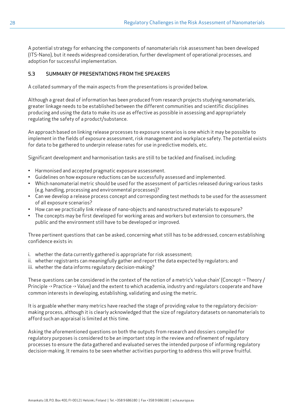A potential strategy for enhancing the components of nanomaterials risk assessment has been developed (ITS-Nano), but it needs widespread consideration, further development of operational processes, and adoption for successful implementation.

## 5.3 SUMMARY OF PRESENTATIONS FROM THE SPEAKERS

A collated summary of the main aspects from the presentations is provided below.

Although a great deal of information has been produced from research projects studying nanomaterials, greater linkage needs to be established between the different communities and scientific disciplines producing and using the data to make its use as effective as possible in assessing and appropriately regulating the safety of a product/substance.

An approach based on linking release processes to exposure scenarios is one which it may be possible to implement in the fields of exposure assessment, risk management and workplace safety. The potential exists for data to be gathered to underpin release rates for use in predictive models, etc.

Significant development and harmonisation tasks are still to be tackled and finalised, including:

- Harmonised and accepted pragmatic exposure assessment.
- Guidelines on how exposure reductions can be successfully assessed and implemented.
- Which nanomaterial metric should be used for the assessment of particles released during various tasks (e.g. handling, processing and environmental processes)?
- Can we develop a release process concept and corresponding test methods to be used for the assessment of all exposure scenarios?
- How can we practically link release of nano-objects and nanostructured materials to exposure?
- The concepts may be first developed for working areas and workers but extension to consumers, the public and the environment still have to be developed or improved.

Three pertinent questions that can be asked, concerning what still has to be addressed, concern establishing confidence exists in:

- i. whether the data currently gathered is appropriate for risk assessment;
- ii. whether registrants can meaningfully gather and report the data expected by regulators; and
- iii. whether the data informs regulatory decision-making?

These questions can be considered in the context of the notion of a metric's 'value chain' (Concept -> Theory / Principle -> Practice -> Value) and the extent to which academia, industry and regulators cooperate and have common interests in developing, establishing, validating and using the metric.

It is arguable whether many metrics have reached the stage of providing value to the regulatory decisionmaking process, although it is clearly acknowledged that the size of regulatory datasets on nanomaterials to afford such an appraisal is limited at this time.

Asking the aforementioned questions on both the outputs from research and dossiers compiled for regulatory purposes is considered to be an important step in the review and refinement of regulatory processes to ensure the data gathered and evaluated serves the intended purpose of informing regulatory decision-making. It remains to be seen whether activities purporting to address this will prove fruitful.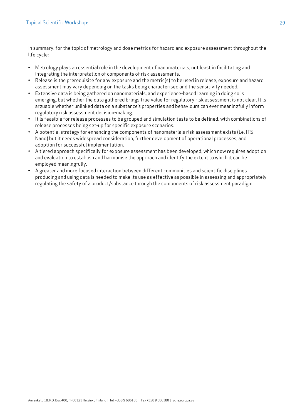In summary, for the topic of metrology and dose metrics for hazard and exposure assessment throughout the life cycle:

- Metrology plays an essential role in the development of nanomaterials, not least in facilitating and integrating the interpretation of components of risk assessments.
- Release is the prerequisite for any exposure and the metric(s) to be used in release, exposure and hazard assessment may vary depending on the tasks being characterised and the sensitivity needed.
- Extensive data is being gathered on nanomaterials, and experience-based learning in doing so is emerging, but whether the data gathered brings true value for regulatory risk assessment is not clear. It is arguable whether unlinked data on a substance's properties and behaviours can ever meaningfully inform regulatory risk assessment decision-making.
- It is feasible for release processes to be grouped and simulation tests to be defined, with combinations of release processes being set-up for specific exposure scenarios.
- A potential strategy for enhancing the components of nanomaterials risk assessment exists (i.e. ITS-Nano) but it needs widespread consideration, further development of operational processes, and adoption for successful implementation.
- A tiered approach specifically for exposure assessment has been developed, which now requires adoption and evaluation to establish and harmonise the approach and identify the extent to which it can be employed meaningfully.
- A greater and more focused interaction between different communities and scientific disciplines producing and using data is needed to make its use as effective as possible in assessing and appropriately regulating the safety of a product/substance through the components of risk assessment paradigm.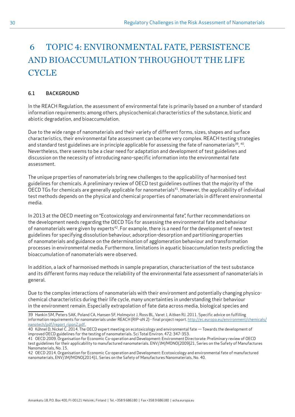# <span id="page-29-0"></span> 6 TOPIC 4: ENVIRONMENTAL FATE, PERSISTENCE AND BIOACCUMULATION THROUGHOUT THE LIFE **CYCLE**

### 6.1 BACKGROUND

In the REACH Regulation, the assessment of environmental fate is primarily based on a number of standard information requirements; among others, physicochemical characteristics of the substance, biotic and abiotic degradation, and bioaccumulation.

Due to the wide range of nanomaterials and their variety of different forms, sizes, shapes and surface characteristics, their environmental fate assessment can become very complex. REACH testing strategies and standard test guidelines are in principle applicable for assessing the fate of nanomaterials<sup>39</sup>, <sup>40</sup>. Nevertheless, there seems to be a clear need for adaptation and development of test guidelines and discussion on the necessity of introducing nano-specific information into the environmental fate assessment.

The unique properties of nanomaterials bring new challenges to the applicability of harmonised test guidelines for chemicals. A preliminary review of OECD test guidelines outlines that the majority of the OECD TGs for chemicals are generally applicable for nanomaterials<sup>41</sup>. However, the applicability of individual test methods depends on the physical and chemical properties of nanomaterials in different environmental media.

In 2013 at the OECD meeting on "Ecotoxicology and environmental fate", further recommendations on the development needs regarding the OECD TGs for assessing the environmental fate and behaviour of nanomaterials were given by experts<sup>42</sup>. For example, there is a need for the development of new test guidelines for specifying dissolution behaviour, adsorption-desorption and partitioning properties of nanomaterials and guidance on the determination of agglomeration behaviour and transformation processes in environmental media. Furthermore, limitations in aquatic bioaccumulation tests predicting the bioaccumulation of nanomaterials were observed.

In addition, a lack of harmonised methods in sample preparation, characterisation of the test substance and its different forms may reduce the reliability of the environmental fate assessment of nanomaterials in general.

Due to the complex interactions of nanomaterials with their environment and potentially changing physicochemical characteristics during their life cycle, many uncertainties in understanding their behaviour in the environment remain. Especially extrapolation of fate data across media, biological species and

<sup>39</sup> Hankin SM, Peters SAK, Poland CA, Hansen SF, Holmqvist J, Ross BL, Varet J, Aitken RJ. 2011. Specific advice on fulfilling information requirements for nanomaterials under REACH (RIP-oN 2) - final project report. [http://ec.europa.eu/environment/chemicals/](http://ec.europa.eu/environment/chemicals/nanotech/pdf/report_ripon2.pdf.) [nanotech/pdf/report\\_ripon2.pdf.](http://ec.europa.eu/environment/chemicals/nanotech/pdf/report_ripon2.pdf.)

<sup>40</sup> Kűhnel D, Nickel C. 2014. The OECD expert meeting on ecotoxicology and environmental fate — Towards the development of improved OECD guidelines for the testing of nanomaterials. Sci Total Environ. 472: 347-353.

<sup>41</sup> OECD 2009. Organisation for Economic Co-operation and Development: Environment Directorate: Preliminary review of OECD test guidelines for their applicability to manufactured nanomaterials. ENV/JM/MONO(2009)21, Series on the Safety of Manufactures Nanomaterials, No. 15.

<sup>42</sup> OECD 2014. Organisation for Economic Co-operation and Development: Ecotoxicology and environmental fate of manufactured nanomaterials, ENV/JM/MONO(2014)1, Series on the Safety of Manufactures Nanomaterials, No. 40.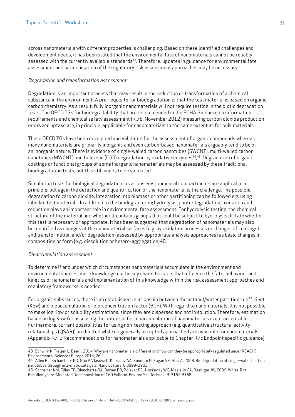across nanomaterials with different properties is challenging. Based on these identified challenges and development needs, it has been stated that the environmental fate of nanomaterials cannot be reliably assessed with the currently available standards<sup>43</sup>. Therefore, updates in guidance for environmental fate assessment and harmonisation of the regulatory risk assessment approaches may be necessary.

#### Degradation and transformation assessment

Degradation is an important process that may result in the reduction or transformation of a chemical substance in the environment. A pre-requisite for biodegradation is that the test material is based on organic carbon chemistry. As a result, fully inorganic nanomaterials will not require testing in the biotic degradation tests. The OECD TGs for biodegradability that are recommended in the ECHA Guidance on information requirements and chemical safety assessment (R.7b, November 2012) measuring carbon dioxide production or oxygen uptake are, in principle, applicable for nanomaterials to the same extent as for bulk materials.

These OECD TGs have been developed and validated for the assessment of organic compounds whereas many nanomaterials are primarily inorganic and even carbon-based nanomaterials arguably tend to be of an inorganic nature. There is evidence of single-walled carbon nanotubes (SWCNT), multi-walled carbon nanotubes (MWCNT) and fullerene (C60) degradation by oxidative enzymes<sup>44,45</sup>. Degradation of organic coatings or functional groups of some inorganic nanomaterials may be assessed by these traditional biodegradation tests, but this still needs to be validated.

Simulation tests for biological degradation in various environmental compartments are applicable in principle, but again the detection and quantification of the nanomaterial is the challenge. The possible degradation to carbon dioxide, integration into biomass or other partitioning can be followed e.g. using labelled test materials. In addition to the biodegradation; hydrolysis, photo-degradation, oxidation and reduction plays an important role in environmental fate assessment. For hydrolysis testing, the chemical structure of the material and whether it contains groups that could be subject to hydrolysis dictate whether this test is necessary or appropriate. It has been suggested that degradation of nanomaterials may also be identified as changes at the nanomaterial surfaces (e.g. by oxidation processes or changes of coatings) and transformation and/or degradation (assessed by appropriate analysis approaches) as basic changes in composition or form (e.g. dissolution or hetero-aggregation)40.

#### Bioaccumulation assessment

To determine if and under which circumstances nanomaterials accumulate in the environment and environmental species, more knowledge on the key characteristics that influence the fate, behaviour and kinetics of nanomaterials and implementation of this knowledge within the risk assessment approaches and regulatory frameworks is needed.

For organic substances, there is an established relationship between the octanol/water partition coefficient (Kow) and bioaccumulation or bio-concentration factor (BCF). With regard to nanomaterials, it is not possible to make log Kow or solubility estimations, since they are dispersed and not in solution. Therefore, estimation based on log Kow for assessing the potential for bioaccumulation of nanomaterials is not acceptable. Furthermore, current possibilities for using non-testing approach (e.g. quantitative structure–activity relationships (QSAR)) are limited while no generally accepted approached are available for nanomaterials (Appendix R7-2 Recommendations for nanomaterials applicable to Chapter R7c Endpoint specific guidance).

<sup>43</sup> Schwirn K, Tietjen L, Beer I. 2014. Why are nanomaterials different and how can they be appropriately regulated under REACH?. Environmental Sciences Europe 2014, 26:4.

<sup>44</sup> Allen BL, Kichambare PD, Gou P, Vlasova II, Kapralov AA, Konduru N, Kagan VE, Star A. 2008. Biodegradation of single-walled carbon nanotubes through enzymatic catalysis. Nano Letters. 8:3899–3903.

<sup>45</sup> Schreiner KM, Filley TR, Blanchette RA, Bowen BB, Bolskar RD, Hockaday WC, Masiello CA, Raebiger JW. 2009. White-Rot Basidiomycete-Mediated Decomposition of C60 Fullerol. Environ Sci. Technol 43: 3162-3168.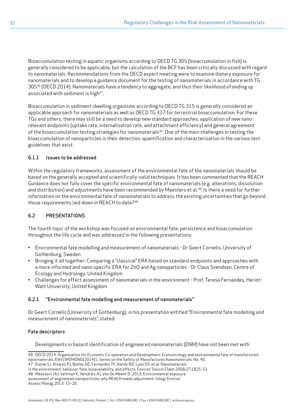Bioaccumulation testing in aquatic organisms according to OECD TG 305 (bioaccumulation in fish) is generally considered to be applicable, but the calculation of the BCF has been critically discussed with regard to nanomaterials. Recommendations from the OECD expert meeting were to examine dietary exposure for nanomaterials and to develop a guidance document for the testing of nanomaterials in accordance with TG 305<sup>46</sup> (OECD 2014). Nanomaterials have a tendency to aggregate, and thus their likelihood of ending up associated with sediment is high<sup>47</sup>.

Bioaccumulation in sediment-dwelling organisms according to OECD TG 315 is generally considered an applicable approach for nanomaterials as well as OECD TG 317 for terrestrial bioaccumulation. For these TGs and others, there may still be a need to develop new standard approaches, application of new nanorelevant endpoints (uptake rate, internalisation rate, and attachment efficiency) and general agreement of the bioaccumulation testing strategies for nanomaterials<sup>40</sup>. One of the main challenges in testing the bioaccumulation of nanoparticles is their detection, quantification and characterisation in the various test guidelines that exist.

## 6.1.1 Issues to be addressed

Within the regulatory frameworks, assessment of the environmental fate of the nanomaterials should be based on the generally accepted and scientifically-valid techniques. It has been commented that the REACH Guidance does not fully cover the specific environmental fate of nanomaterials (e.g. alterations, dissolution and distribution) and adjustments have been recommended by Meesters et al.<sup>48</sup>. Is there a need for further information on the environmental fate of nanomaterials to address the existing uncertainties that go beyond those requirements laid down in REACH to date?<sup>38</sup>

# 6.2 PRESENTATIONS

The fourth topic of the workshop was focused on environmental fate, persistence and bioaccumulation throughout the life cycle and was addressed in the following presentations:

- Environmental fate modelling and measurement of nanomaterials Dr Geert Cornelis, University of Gothenburg, Sweden
- Bringing it all together: Comparing a "classical" ERA based on standard endpoints and approaches with a more informed and nano-specific ERA for ZnO and Ag nanoparticles - Dr Claus Svendsen, Centre of Ecology and Hydrology, United Kingdom
- Challenges for effect assessment of nanomaterials in the environment Prof. Teresa Fernandes, Heriot-Watt University, United Kingdom

### 6.2.1 "Environmental fate modelling and measurement of nanomaterials"

Dr Geert Cornelis (University of Gothenburg), in his presentation entitled "Environmental fate modelling and measurement of nanomaterials", stated:

### Fate descriptors

Developments in hazard identification of engineered nanomaterials (ENM) have not been met with

```
in the environment: behavior, fate, bioavailability, and effects. Environ Toxicol Chem 2008;27:1825–51.
```
<sup>46</sup> OECD 2014. Organisation for Economic Co-operation and Development: Ecotoxicology and environmental fate of manufactured nanomaterials, ENV/JM/MONO(2014)1, Series on the Safety of Manufactures Nanomaterials, No. 40.

<sup>47</sup> Klaine SJ, Alvarez PJ, Batley GE, Fernandes TF, Handy RD, Lyon DY, et al. Nanomaterials

<sup>48</sup> Meesters JAJ, Veltman K, Hendriks AJ, Van De Meent D. 2013. Environmental exposure assessment of engineered nanoparticles: why REACH needs adjustment. Integr Environ

Assess Manag 2013: 15–26.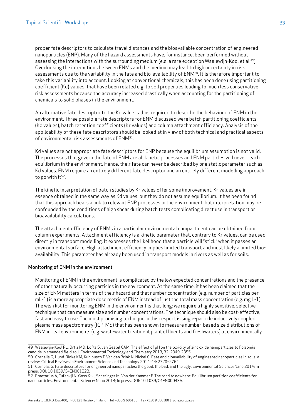proper fate descriptors to calculate travel distances and the bioavailable concentration of engineered nanoparticles (ENP). Many of the hazard assessments have, for instance, been performed without assessing the interactions with the surrounding medium (e.g. a rare exception Waalewijn-Kool et al.<sup>49</sup>). Overlooking the interactions between ENMs and the medium may lead to high uncertainty in risk assessments due to the variability in the fate and bio-availability of ENM<sup>50</sup>. It is therefore important to take this variability into account. Looking at conventional chemicals, this has been done using partitioning coefficient (Kd) values, that have been related e.g. to soil properties leading to much less conservative risk assessments because the accuracy increased drastically when accounting for the partitioning of chemicals to solid phases in the environment.

An alternative fate descriptor to the Kd value is thus required to describe the behaviour of ENM in the environment. Three possible fate descriptors for ENM discussed were batch partitioning coefficients (Kd values), batch retention coefficients (Kr values) and column attachment efficiency. Analysis of the applicability of these fate descriptors should be looked at in view of both technical and practical aspects of environmental risk assessments of ENM<sup>51</sup>.

Kd values are not appropriate fate descriptors for ENP because the equilibrium assumption is not valid. The processes that govern the fate of ENM are all kinetic processes and ENM particles will never reach equilibrium in the environment. Hence, their fate can never be described by one static parameter such as Kd values. ENM require an entirely different fate descriptor and an entirely different modelling approach to go with  $it^{52}$ .

The kinetic interpretation of batch studies by Kr values offer some improvement. Kr values are in essence obtained in the same way as Kd values, but they do not assume equilibrium. It has been found that this approach bears a link to relevant ENP processes in the environment, but interpretation may be confounded by the conditions of high shear during batch tests complicating direct use in transport or bioavailability calculations.

The attachment efficiency of ENMs in a particular environmental compartment can be obtained from column experiments. Attachment efficiency is a kinetic parameter that, contrary to Kr values, can be used directly in transport modelling. It expresses the likelihood that a particle will "stick" when it passes an environmental surface. High attachment efficiency implies limited transport and most likely a limited bioavailability. This parameter has already been used in transport models in rivers as well as for soils.

#### Monitoring of ENM in the environment

Monitoring of ENM in the environment is complicated by the low expected concentrations and the presence of other naturally occurring particles in the environment. At the same time, it has been claimed that the size of ENM matters in terms of their hazard and that number concentration (e.g. number of particles per mL-1) is a more appropriate dose metric of ENM instead of just the total mass concentration (e.g. mg L-1). The wish list for monitoring ENM in the environment is thus long: we require a highly sensitive, selective technique that can measure size and number concentrations. The technique should also be cost-effective, fast and easy to use. The most promising technique in this respect is single-particle inductively coupled plasma mass spectrometry (ICP-MS) that has been shown to measure number-based size distributions of ENM in real environments (e.g. wastewater treatment plant effluents and freshwaters) at environmentally

<sup>49</sup> Waalewijn-Kool PL, Ortiz MD, Lofts S, van Gestel CAM. The effect of pH on the toxicity of zinc oxide nanoparticles to Folsomia candida in amended field soil. Environmental Toxicology and Chemistry 2013; 32: 2349-2355.

<sup>50</sup> Cornelis G, Hund-Rinke KM, Kuhlbusch T, Van den Brink N, Nickel C. Fate and bioavailability of engineered nanoparticles in soils: a review. Critical Reviews in Environment Science and Technology 2014; 44: 2720–2764.

<sup>51</sup> Cornelis G. Fate descriptors for engineered nanoparticles: the good, the bad, and the ugly. Environmental Science: Nano 2014: In press: DOI: 10.1039/C4EN00122B.

<sup>52</sup> Praetorius A, Tufenkji N, Goss K-U, Scheringer M, Von der Kammer F. The road to nowhere: Equilibrium partition coefficients for nanoparticles. Environmental Science: Nano 2014; In press. DOI: 10.1039/C4EN00043A.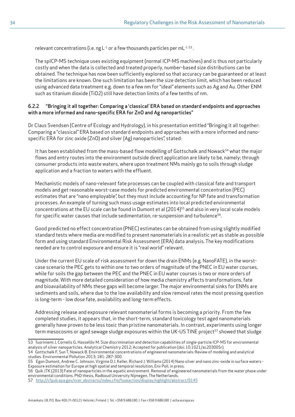relevant concentrations (i.e. ng  $L^{-1}$  or a few thousands particles per m $L^{-1}$  <sup>53</sup>.

The spICP-MS technique uses existing equipment (normal ICP-MS machines) and is thus not particularly costly and when the data is collected and treated properly, number-based size distributions can be obtained. The technique has now been sufficiently explored so that accuracy can be guaranteed or at least the limitations are known. One such limitation has been the size detection limit, which has been reduced using advanced data treatment e.g. down to a few nm for "ideal" elements such as Ag and Au. Other ENM such as titanium dioxide (TiO2) still have detection limits of a few tenths of nm.

#### 6.2.2 "Bringing it all together: Comparing a 'classical' ERA based on standard endpoints and approaches with a more informed and nano-specific ERA for ZnO and Ag nanoparticles"

Dr Claus Svendsen (Centre of Ecology and Hydrology), in his presentation entitled "Bringing it all together: Comparing a "classical" ERA based on standard endpoints and approaches with a more informed and nanospecific ERA for zinc oxide (ZnO) and silver (Ag) nanoparticles", stated:

It has been established from the mass-based flow modelling of Gottschalk and Nowack<sup>54</sup> what the major flows and entry routes into the environment outside direct application are likely to be, namely; through consumer products into waste waters, where upon treatment NMs mainly go to soils through sludge application and a fraction to waters with the effluent.

Mechanistic models of nano-relevant fate processes can be coupled with classical fate and transport models and get reasonable worst-case models for predicted environmental concentration (PEC) estimates that are "nano employable", but they must include accounting for NP fate and transformation processes. An example of turning such mass usage estimates into local predicted environmental concentrations at the EU scale can be found in Dumont et al (2014)<sup>55</sup> and also in very local scale models for specific water causes that include sedimentation, re-suspension and turbulence<sup>56</sup>.

Good predicted no effect concentration (PNEC) estimates can be obtained from using slightly modified standard tests where media are modified to present nanomaterials in a realistic yet as stable as possible form and using standard Environmental Risk Assessment (ERA) data analysis. The key modifications needed are to control exposure and ensure it is "real world" relevant.

Under the current EU scale of risk assessment for down the drain ENMs (e.g. NanoFATE), in the worstcase scenario the PEC gets to within one to two orders of magnitude of the PNEC in EU water courses, while for soils the gap between the PEC and the PNEC in EU water courses is two or more orders of magnitude. With more detailed consideration of how media chemistry affects transformations, fate and bioavailability of NMs these gaps will become larger. The major environmental sinks for ENMs are sediments and soils, where due to the low availability and slow removal rates the most pressing question is long-term - low dose fate, availability and long-term effects.

Addressing release and exposure relevant nanomaterial forms is becoming a priority. From the few completed studies, it appears that, in the short-term, standard toxicology test aged nanomaterials generally have proven to be less toxic than pristine nanomaterials. In contrast, experiments using longer term mesocosms or aged sewage sludge exposures within the UK-US TINE project<sup>57</sup> showed that sludge

54 Gottschalk F, Sun T, Nowack B. Environmental concentrations of engineered nanomaterials: Review of modeling and analytical studies. Environmental Pollution 2013; 181: 287-300.

<sup>53</sup> Tuoriniemi J, Cornelis G, Hassellöv M. Size discrimination and detection capabilities of single-particle ICP-MS for environmental analysis of silver nanoparticles. Analytical Chemistry 2012; Accepted for publication (doi: 10.1021/ac203005r).

<sup>55</sup> Egon Dumont, Andrew C. Johnson, Virginie D.J. Keller, Richard J. Williams (2014) Nano silver and nano zinc-oxide in surface waters - Exposure estimation for Europe at high spatial and temporal resolution, Env Poll, in press.

<sup>56</sup> Quik JTK (2013) Fate of nanoparticles in the aquatic environment. Removal of engineered nanomaterials from the water phase under environmental conditions. PhD thesis, Radboud University Nijmegen, The Netherlands.

<sup>57</sup> [http://cfpub.epa.gov/ncer\\_abstracts/index.cfm/fuseaction/display.highlight/abstract/9145](http://cfpub.epa.gov/ncer_abstracts/index.cfm/fuseaction/display.highlight/abstract/9145)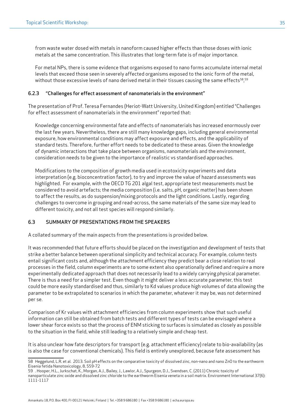from waste water dosed with metals in nanoform caused higher effects than those doses with ionic metals at the same concentration. This illustrates that long-term fate is of major importance.

For metal NPs, there is some evidence that organisms exposed to nano forms accumulate internal metal levels that exceed those seen in severely affected organisms exposed to the ionic form of the metal, without those excessive levels of nano derived metal in their tissues causing the same effects $^{58}\!$   $^{59}$ 

#### 6.2.3 "Challenges for effect assessment of nanomaterials in the environment"

The presentation of Prof. Teresa Fernandes (Heriot-Watt University, United Kingdom) entitled "Challenges for effect assessment of nanomaterials in the environment" reported that:

Knowledge concerning environmental fate and effects of nanomaterials has increased enormously over the last few years. Nevertheless, there are still many knowledge gaps, including general environmental exposure, how environmental conditions may affect exposure and effects, and the applicability of standard tests. Therefore, further effort needs to be dedicated to these areas. Given the knowledge of dynamic interactions that take place between organisms, nanomaterials and the environment, consideration needs to be given to the importance of realistic vs standardised approaches.

Modifications to the composition of growth media used in ecotoxicity experiments and data interpretation (e.g. bioconcentration factor), to try and improve the value of hazard assessments was highlighted. For example, with the OECD TG 201 algal test, appropriate test measurements must be considered to avoid artefacts; the media composition (i.e. salts, pH, organic matter) has been shown to affect the results, as do suspension/mixing protocols and the light conditions. Lastly, regarding challenges to overcome in grouping and read-across, the same materials of the same size may lead to different toxicity, and not all test species will respond similarly.

#### 6.3 SUMMARY OF PRESENTATIONS FROM THE SPEAKERS

A collated summary of the main aspects from the presentations is provided below.

It was recommended that future efforts should be placed on the investigation and development of tests that strike a better balance between operational simplicity and technical accuracy. For example, column tests entail significant costs and, although the attachment efficiency they predict bear a close relation to real processes in the field, column experiments are to some extent also operationally defined and require a more experimentally dedicated approach that does not necessarily lead to a widely carrying physical parameter. There is thus a need for a simpler test. Even though it might deliver a less accurate parameter, this test could be more easily standardised and thus, similarly to Kd values produce high volumes of data allowing the parameter to be extrapolated to scenarios in which the parameter, whatever it may be, was not determined per se.

Comparison of Kr values with attachment efficiencies from column experiments show that such useful information can still be obtained from batch tests and different types of tests can be envisaged where a lower shear force exists so that the process of ENM sticking to surfaces is simulated as closely as possible to the situation in the field, while still leading to a relatively simple and cheap test.

It is also unclear how fate descriptors for transport (e.g. attachment efficiency) relate to bio-availability (as is also the case for conventional chemicals). This field is entirely unexplored, because fate assessment has

<sup>58</sup> Heggelund, L.R. et al. 2013. Soil pH effects on the comparative toxicity of dissolved zinc, non-nano and nano ZnO to the earthworm Eisenia fetida Nanotoxicology, 8, 559-72

<sup>59</sup> . Hooper, H.L., Jurkschat, K., Morgan, A.J., Bailey, J., Lawlor, A.J., Spurgeon, D.J., Svendsen, C. (2011) Chronic toxicity of

nanoparticulate zinc oxide and dissolved zinc chloride to the earthworm Eisenia veneta in a soil matrix. Environment International 37(6): 1111-1117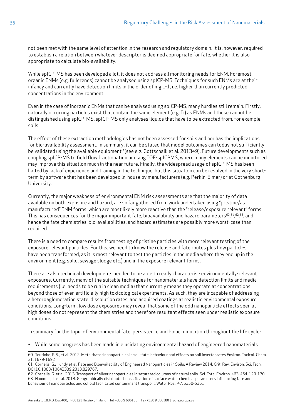not been met with the same level of attention in the research and regulatory domain. It is, however, required to establish a relation between whatever descriptor is deemed appropriate for fate, whether it is also appropriate to calculate bio-availability.

While spICP-MS has been developed a lot, it does not address all monitoring needs for ENM. Foremost, organic ENMs (e.g. fullerenes) cannot be analysed using spICP-MS. Techniques for such ENMs are at their infancy and currently have detection limits in the order of mg L-1, i.e. higher than currently predicted concentrations in the environment.

Even in the case of inorganic ENMs that can be analysed using spICP-MS, many hurdles still remain. Firstly, naturally occurring particles exist that contain the same element (e.g. Ti) as ENMs and these cannot be distinguished using spICP-MS. spICP-MS only analyses liquids that have to be extracted from, for example, soils.

The effect of these extraction methodologies has not been assessed for soils and nor has the implications for bio-availability assessment. In summary, it can be stated that model outcomes can today not sufficiently be validated using the available equipment \*(see e.g. Gottschalk et al. 201349). Future developments such as coupling spICP-MS to field flow fractionation or using TOF-spICPMS, where many elements can be monitored may improve this situation much in the near future. Finally, the widespread usage of spICP-MS has been halted by lack of experience and training in the technique, but this situation can be resolved in the very shortterm by software that has been developed in-house by manufacturers (e.g. Perkin-Elmer) or at Gothenburg University.

Currently, the major weakness of environmental ENM risk assessments are that the majority of data available on both exposure and hazard, are so far gathered from work undertaken using "pristine/as manufactured" ENM forms, which are most likely more reactive than the "release/exposure relevant" forms. This has consequences for the major important fate, bioavailability and hazard parameters $^{60,61,62,63},$  and hence the fate chemistries, bio-availabilities, and hazard estimates are possibly more worst-case than required.

There is a need to compare results from testing of pristine particles with more relevant testing of the exposure relevant particles. For this, we need to know the release and fate routes plus how particles have been transformed, as it is most relevant to test the particles in the media where they end up in the environment (e.g. solid, sewage sludge etc.) and in the exposure relevant forms.

There are also technical developments needed to be able to really characterise environmentally-relevant exposures. Currently, many of the suitable techniques for nanomaterials have detection limits and media requirements (i.e. needs to be run in clean media) that currently means they operate at concentrations beyond those of even artificially high toxicological experiments. As such, they are incapable of addressing a heteroaglomeration state, dissolution rates, and acquired coatings at realistic environmental exposure conditions. Long-term, low dose exposures may reveal that some of the odd nanoparticle effects seen at high doses do not represent the chemistries and therefore resultant effects seen under realistic exposure conditions.

In summary for the topic of environmental fate, persistence and bioaccumulation throughout the life cycle:

• While some progress has been made in elucidating environmental hazard of engineered nanomaterials

62 Cornelis, G. et al. 2013. Transport of silver nanoparticles in saturated columns of natural soils. Sci. Total Environ. 463-464. 120-130 63 Hammes, J., et al. 2013. Geographically distributed classification of surface water chemical parameters influencing fate and behaviour of nanoparticles and colloid facilitated contaminant transport. Water Res., 47, 5350-5361

<sup>60</sup> Tourinho, P. S., et al. 2012. Metal-based nanoparticles in soil: fate, behaviour and effects on soil invertebrates Environ. Toxicol. Chem. 31, 1679-1692

<sup>61</sup> Cornelis, G.; Hundy et al. Fate and Bioavailability of Engineered Nanoparticles in Soils: A Review 2014. Crit. Rev. Environ. Sci. Tech. DOI:10.1080/10643389.2013.829767.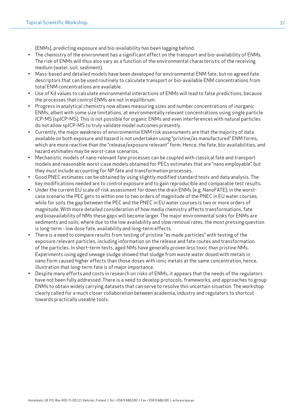(ENMs), predicting exposure and bio-availability has been lagging behind.

- The chemistry of the environment has a significant effect on the transport and bio-availability of ENMs. The risk of ENMs will thus also vary as a function of the environmental characteristic of the receiving medium (water, soil, sediment).
- Mass-based and detailed models have been developed for environmental ENM fate, but no agreed fate descriptors that can be used routinely to calculate transport or bio-available ENM concentrations from total ENM concentrations are available.
- Use of Kd values to calculate environmental interactions of ENMs will lead to false predictions, because the processes that control ENMs are not in equilibrium.
- Progress in analytical chemistry now allows measuring sizes and number concentrations of inorganic ENMs, albeit with some size limitations, at environmentally relevant concentrations using single particle ICP-MS (spICP-MS). This is not possible for organic ENMs and even interferences with natural particles do not allow spICP-MS to truly validate model outcomes presently.
- Currently, the major weakness of environmental ENM risk assessments are that the majority of data available on both exposure and hazard is not undertaken using "pristine/as manufactured" ENM forms, which are more reactive than the "release/exposure relevant" form. Hence, the fate, bio-availabilities, and hazard estimates may be worst-case scenarios.
- Mechanistic models of nano-relevant fate processes can be coupled with classical fate and transport models and reasonable worst-case models obtained for PECs estimates that are "nano employable", but they must include accounting for NP fate and transformation processes.
- Good PNEC estimates can be obtained by using slightly modified standard tests and data analysis. The key modifications needed are to control exposure and to gain reproducible and comparable test results.
- Under the current EU scale of risk assessment for down the drain ENMs (e.g. NanoFATE); in the worstcase scenario the PEC gets to within one to two orders of magnitude of the PNEC in EU water courses, while for soils the gap between the PEC and the PNEC in EU water courses is two or more orders of magnitude. With more detailed consideration of how media chemistry affects transformations, fate and bioavailability of NMs these gaps will become larger. The major environmental sinks for ENMs are sediments and soils, where due to the low availability and slow removal rates, the most pressing question is long-term - low dose fate, availability and long-term effects.
- There is a need to compare results from testing of pristine "as made particles" with testing of the exposure relevant particles, including information on the release and fate routes and transformation of the particles. In short-term tests, aged NMs have generally proven less toxic than pristine NMs. Experiments using aged sewage sludge showed that sludge from waste water dosed with metals in nano form caused higher effects than those doses with ionic metals at the same concentration, hence, illustration that long-term fate is of major importance.
- Despite many efforts and costs in research on risks of ENMs, it appears that the needs of the regulators have not been fully addressed. There is a need to develop protocols, frameworks, and approaches to group ENMs to obtain widely carrying datasets that can serve to resolve this uncertain situation. The workshop clearly called for a much closer collaboration between academia, industry and regulators to shortcut towards practically useable tools.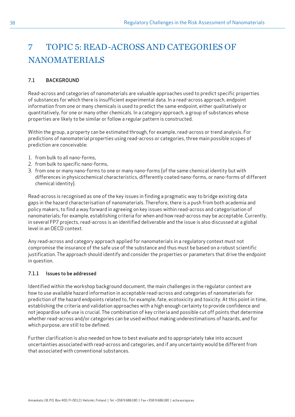# <span id="page-37-0"></span>7 TOPIC 5: READ-ACROSS AND CATEGORIES OF **NANOMATERIALS**

### 7.1 BACKGROUND

Read-across and categories of nanomaterials are valuable approaches used to predict specific properties of substances for which there is insufficient experimental data. In a read-across approach, endpoint information from one or many chemicals is used to predict the same endpoint, either qualitatively or quantitatively, for one or many other chemicals. In a category approach, a group of substances whose properties are likely to be similar or follow a regular pattern is constructed.

Within the group, a property can be estimated through, for example, read-across or trend analysis. For predictions of nanomaterial properties using read-across or categories, three main possible scopes of prediction are conceivable:

- 1. from bulk to all nano-forms,
- 2. from bulk to specific nano-forms,
- 3. from one or many nano-forms to one or many nano-forms (of the same chemical identity but with differences in physicochemical characteristics, differently coated nano-forms, or nano-forms of different chemical identity).

Read-across is recognised as one of the key issues in finding a pragmatic way to bridge existing data gaps in the hazard characterisation of nanomaterials. Therefore, there is a push from both academia and policy makers, to find a way forward in agreeing on key issues within read-across and categorisation of nanomaterials; for example, establishing criteria for when and how read-across may be acceptable. Currently, in several FP7 projects, read-across is an identified deliverable and the issue is also discussed at a global level in an OECD context.

Any read-across and category approach applied for nanomaterials in a regulatory context must not compromise the insurance of the safe use of the substance and thus must be based on a robust scientific justification. The approach should identify and consider the properties or parameters that drive the endpoint in question.

### 7.1.1 Issues to be addressed

Identified within the workshop background document, the main challenges in the regulator context are how to use available hazard information in acceptable read-across and categories of nanomaterials for prediction of the hazard endpoints related to, for example, fate, ecotoxicity and toxicity. At this point in time, establishing the criteria and validation approaches with a high enough certainty to provide confidence and not jeopardise safe use is crucial. The combination of key criteria and possible cut off points that determine whether read-across and/or categories can be used without making underestimations of hazards, and for which purpose, are still to be defined.

Further clarification is also needed on how to best evaluate and to appropriately take into account uncertainties associated with read-across and categories, and if any uncertainty would be different from that associated with conventional substances.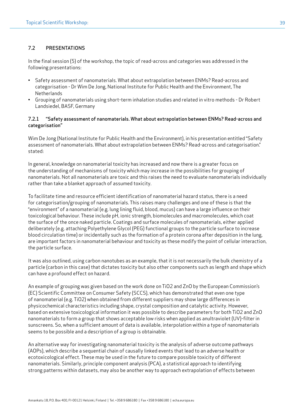# 7.2 PRESENTATIONS

In the final session (5) of the workshop, the topic of read-across and categories was addressed in the following presentations:

- Safety assessment of nanomaterials. What about extrapolation between ENMs? Read-across and categorisation - Dr Wim De Jong, National Institute for Public Health and the Environment, The Netherlands
- Grouping of nanomaterials using short-term inhalation studies and related in vitro methods Dr Robert Landsiedel, BASF, Germany

#### 7.2.1 "Safety assessment of nanomaterials. What about extrapolation between ENMs? Read-across and categorisation"

Wim De Jong (National Institute for Public Health and the Environment), in his presentation entitled "Safety assessment of nanomaterials. What about extrapolation between ENMs? Read-across and categorisation." stated:

In general, knowledge on nanomaterial toxicity has increased and now there is a greater focus on the understanding of mechanisms of toxicity which may increase in the possibilities for grouping of nanomaterials. Not all nanomaterials are toxic and this raises the need to evaluate nanomaterials individually rather than take a blanket approach of assumed toxicity.

To facilitate time and resource efficient identification of nanomaterial hazard status, there is a need for categorisation/grouping of nanomaterials. This raises many challenges and one of these is that the "environment" of a nanomaterial (e.g. lung lining fluid, blood, mucus) can have a large influence on their toxicological behaviour. These include pH, ionic strength, biomolecules and macromolecules, which coat the surface of the once naked particle. Coatings and surface molecules of nanomaterials, either applied deliberately (e.g. attaching Polyethylene Glycol (PEG) functional groups to the particle surface to increase blood circulation time) or incidentally such as the formation of a protein corona after deposition in the lung, are important factors in nanomaterial behaviour and toxicity as these modify the point of cellular interaction, the particle surface.

It was also outlined, using carbon nanotubes as an example, that it is not necessarily the bulk chemistry of a particle (carbon in this case) that dictates toxicity but also other components such as length and shape which can have a profound effect on hazard.

An example of grouping was given based on the work done on TiO2 and ZnO by the European Commission's (EC) Scientific Committee on Consumer Safety (SCCS), which has demonstrated that even one type of nanomaterial (e.g. TiO2) when obtained from different suppliers may show large differences in physicochemical characteristics including shape, crystal composition and catalytic activity. However, based on extensive toxicological information it was possible to describe parameters for both TiO2 and ZnO nanomaterials to form a group that shows acceptable low risks when applied as anultraviolet (UV)-filter in sunscreens. So, when a sufficient amount of data is available, interpolation within a type of nanomaterials seems to be possible and a description of a group is obtainable.

An alternative way for investigating nanomaterial toxicity is the analysis of adverse outcome pathways (AOPs), which describe a sequential chain of causally linked events that lead to an adverse health or ecotoxicological effect. These may be used in the future to compare possible toxicity of different nanomaterials. Similarly, principle component analysis (PCA), a statistical approach to identifying strong patterns within datasets, may also be another way to approach extrapolation of effects between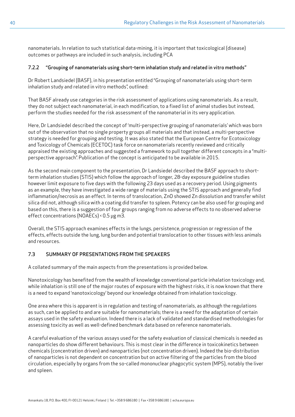nanomaterials. In relation to such statistical data-mining, it is important that toxicological (disease) outcomes or pathways are included in such analysis, including PCA

### 7.2.2 "Grouping of nanomaterials using short-term inhalation study and related in vitro methods"

Dr Robert Landsiedel (BASF), in his presentation entitled "Grouping of nanomaterials using short-term inhalation study and related in vitro methods", outlined:

That BASF already use categories in the risk assessment of applications using nanomaterials. As a result, they do not subject each nanomaterial, in each modification, to a fixed list of animal studies but instead, perform the studies needed for the risk assessment of the nanomaterial in its very application.

Here, Dr Landsiedel described the concept of 'multi-perspective grouping of nanomaterials' which was born out of the observation that no single property groups all materials and that instead, a multi-perspective strategy is needed for grouping and testing. It was also stated that the European Centre for Ecotoxicology and Toxicology of Chemicals (ECETOC) task force on nanomaterials recently reviewed and critically appraised the existing approaches and suggested a framework to pull together different concepts in a "multiperspective approach". Publication of the concept is anticipated to be available in 2015.

As the second main component to the presentation, Dr Landsiedel described the BASF approach to shortterm inhalation studies (STIS) which follow the approach of longer, 28-day exposure guideline studies however limit exposure to five days with the following 23 days used as a recovery period. Using pigments as an example, they have investigated a wide range of materials using the STIS approach and generally find inflammation/necrosis as an effect. In terms of translocation, ZnO showed Zn dissolution and transfer whilst silica did not, although silica with a coating did transfer to spleen. Potency can be also used for grouping and based on this, there is a suggestion of four groups ranging from no adverse effects to no observed adverse effect concentrations (NOAECs) < 0.5 µg m3.

Overall, the STIS approach examines effects in the lungs, persistence, progression or regression of the effects, effects outside the lung, lung burden and potential translocation to other tissues with less animals and resources.

# 7.3 SUMMARY OF PRESENTATIONS FROM THE SPEAKERS

A collated summary of the main aspects from the presentations is provided below.

Nanotoxicology has benefited from the wealth of knowledge conventional particle inhalation toxicology and, while inhalation is still one of the major routes of exposure with the highest risks, it is now known that there is a need to expand 'nanotoxicology' beyond our knowledge obtained from inhalation toxicology.

One area where this is apparent is in regulation and testing of nanomaterials, as although the regulations as such, can be applied to and are suitable for nanomaterials; there is a need for the adaptation of certain assays used in the safety evaluation. Indeed there is a lack of validated and standardised methodologies for assessing toxicity as well as well-defined benchmark data based on reference nanomaterials.

A careful evaluation of the various assays used for the safety evaluation of classical chemicals is needed as nanoparticles do show different behaviours. This is most clear in the difference in toxicokinetics between chemicals (concentration driven) and nanoparticles (not concentration driven). Indeed the bio-distribution of nanoparticles is not dependent on concentration but on active filtering of the particles from the blood circulation, especially by organs from the so-called mononuclear phagocytic system (MPS), notably the liver and spleen.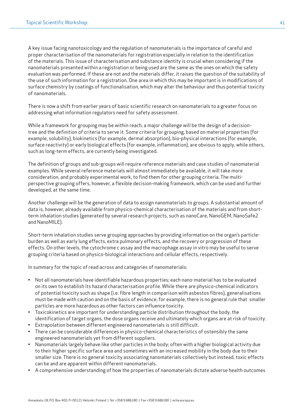A key issue facing nanotoxicology and the regulation of nanomaterials is the importance of careful and proper characterisation of the nanomaterials for registration especially in relation to the identification of the materials. This issue of characterisation and substance identity is crucial when considering if the nanomaterials presented within a registration or being used are the same as the ones on which the safety evaluation was performed. If these are not and the materials differ, it raises the question of the suitability of the use of such information for a registration. One area in which this may be important is in modifications of surface chemistry by coatings of functionalisation, which may alter the behaviour and thus potential toxicity of nanomaterials.

There is now a shift from earlier years of basic scientific research on nanomaterials to a greater focus on addressing what information regulators need for safety assessment.

While a framework for grouping may be within reach, a major challenge will be the design of a decisiontree and the definition of criteria to serve it. Some criteria for grouping, based on material properties (for example, solubility), biokinetics (for example, dermal absorption), bio-physical interactions (for example, surface reactivity) or early biological effects (for example, inflammation), are obvious to apply, while others, such as long-term effects, are currently being investigated.

The definition of groups and sub-groups will require reference materials and case studies of nanomaterial examples. While several reference materials will almost immediately be available, it will take more consideration, and probably experimental work, to find them for other grouping criteria. The multiperspective grouping offers, however, a flexible decision-making framework, which can be used and further developed, at the same time.

Another challenge will be the generation of data to assign nanomaterials to groups. A substantial amount of data is, however, already available from physico-chemical characterisation of the materials and from shortterm inhalation studies (generated by several research projects, such as nanoCare, NanoGEM, NanoSafe2 and NanoMILE).

Short-term inhalation studies serve grouping approaches by providing information on the organ's particleburden as well as early lung effects, extra pulmonary effects, and the recovery or progression of these effects. On other levels, the cytochrome c assay and the macrophage assay in vitro may be useful to serve grouping criteria based on physico-biological interactions and cellular effects, respectively.

In summary for the topic of read across and categories of nanomaterials:

- Not all nanomaterials have identifiable hazardous properties; each nano-material has to be evaluated on its own to establish its hazard characterisation profile. While there are physico-chemical indicators of potential toxicity such as shape (i.e. fibre length in comparison with asbestos fibres), generalisations must be made with caution and on the basis of evidence; for example, there is no general rule that smaller particles are more hazardous as other factors can influence toxicity.
- Toxicokinetics are important for understanding particle distribution throughout the body, the identification of target organs, the dose organs receive and ultimately which organs are at risk of toxicity.
- Extrapolation between different engineered nanomaterials is still difficult.
- There can be considerable differences in physico-chemical characteristics of ostensibly the same engineered nanomaterials yet from different suppliers.
- Nanomaterials largely behave like other particles in the body; often with a higher biological activity due to their higher specific surface area and sometimes with an increased mobility in the body due to their smaller size. There is no general toxicity associating nanomaterials collectively but instead, toxic effects can be and are apparent within different nanomaterials.
- A comprehensive understanding of how the properties of nanomaterials dictate adverse health outcomes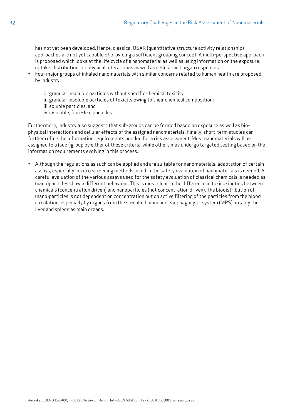has not yet been developed. Hence, classical QSAR (quantitative structure activity relationship) approaches are not yet capable of providing a sufficient grouping concept. A multi-perspective approach is proposed which looks at the life cycle of a nanomaterial as well as using information on the exposure, uptake, distribution, biophysical interactions as well as cellular and organ responses.

- Four major groups of inhaled nanomaterials with similar concerns related to human health are proposed by industry:
	- i. granular insoluble particles without specific chemical toxicity;
	- ii. granular insoluble particles of toxicity owing to their chemical composition;
	- iii.soluble particles; and
	- iv. insoluble, fibre-like particles.

Furthermore, industry also suggests that sub-groups can be formed based on exposure as well as biophysical interactions and cellular effects of the assigned nanomaterials. Finally, short-term studies can further refine the information requirements needed for a risk assessment. Most nanomaterials will be assigned to a (sub-)group by either of these criteria, while others may undergo targeted testing based on the information requirements evolving in this process.

• Although the regulations as such can be applied and are suitable for nanomaterials, adaptation of certain assays, especially in vitro screening methods, used in the safety evaluation of nanomaterials is needed. A careful evaluation of the various assays used for the safety evaluation of classical chemicals is needed as (nano)particles show a different behaviour. This is most clear in the difference in toxicokinetics between chemicals (concentration driven) and nanoparticles (not concentration driven). The biodistribution of (nano)particles is not dependent on concentration but on active filtering of the particles from the blood circulation, especially by organs from the so-called mononuclear phagocytic system (MPS) notably the liver and spleen as main organs.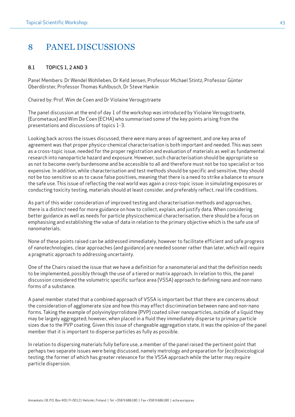# <span id="page-42-0"></span>8 PANEL DISCUSSIONS

# 8.1 TOPICS 1, 2 AND 3

Panel Members: Dr Wendel Wohlleben, Dr Keld Jensen, Professor Michael Stintz, Professor Günter Oberdörster, Professor Thomas Kuhlbusch, Dr Steve Hankin

Chaired by: Prof. Wim de Coen and Dr Violaine Verougstraete

The panel discussion at the end of day 1 of the workshop was introduced by Violaine Verougstraete, (Eurometaux) and Wim De Coen (ECHA) who summarised some of the key points arising from the presentations and discussions of topics 1-3.

Looking back across the issues discussed, there were many areas of agreement, and one key area of agreement was that proper physico-chemical characterisation is both important and needed. This was seen as a cross-topic issue, needed for the proper registration and evaluation of materials as well as fundamental research into nanoparticle hazard and exposure. However, such characterisation should be appropriate so as not to become overly burdensome and be accessible to all and therefore must not be too specialist or too expensive. In addition, while characterisation and test methods should be specific and sensitive, they should not be too sensitive so as to cause false positives, meaning that there is a need to strike a balance to ensure the safe use. This issue of reflecting the real world was again a cross-topic issue: in simulating exposures or conducting toxicity testing, materials should at least consider, and preferably reflect, real life conditions.

As part of this wider consideration of improved testing and characterisation methods and approaches, there is a distinct need for more guidance on how to collect, explain, and justify data. When considering better guidance as well as needs for particle physicochemical characterisation, there should be a focus on emphasising and establishing the value of data in relation to the primary objective which is the safe use of nanomaterials.

None of these points raised can be addressed immediately, however to facilitate efficient and safe progress of nanotechnologies, clear approaches (and guidance) are needed sooner rather than later, which will require a pragmatic approach to addressing uncertainty.

One of the Chairs raised the issue that we have a definition for a nanomaterial and that the definition needs to be implemented, possibly through the use of a tiered or matrix approach. In relation to this, the panel discussion considered the volumetric specific surface area (VSSA) approach to defining nano and non-nano forms of a substance.

A panel member stated that a combined approach of VSSA is important but that there are concerns about the consideration of agglomerate size and how this may effect discrimination between nano and non-nano forms. Taking the example of polyvinylpyrrolidone (PVP) coated silver nanoparticles, outside of a liquid they may be largely aggregated; however, when placed in a fluid they immediately disperse to primary particle sizes due to the PVP coating. Given this issue of changeable aggregation state, it was the opinion of the panel member that it is important to disperse particles as fully as possible.

In relation to dispersing materials fully before use, a member of the panel raised the pertinent point that perhaps two separate issues were being discussed, namely metrology and preparation for (eco)toxicological testing; the former of which has greater relevance for the VSSA approach while the latter may require particle dispersion.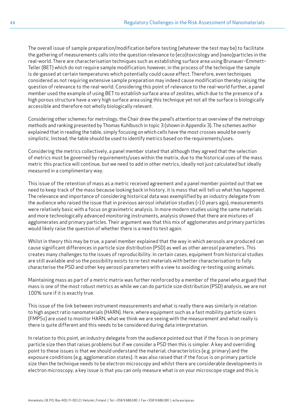The overall issue of sample preparation/modification before testing (whatever the test may be) to facilitate the gathering of measurements calls into the question relevance to (eco)toxicology and (nano)particles in the real-world. There are characterisation techniques such as establishing surface area using Brunauer–Emmett– Teller (BET) which do not require sample modification; however, in the process of the technique the sample is de-gassed at certain temperatures which potentially could cause effect. Therefore, even techniques considered as not requiring extensive sample preparation may indeed cause modification thereby raising the question of relevance to the real-world. Considering this point of relevance to the real-world further, a panel member used the example of using BET to establish surface area of zeolites, which due to the presence of a high porous structure have a very high surface area using this technique yet not all the surface is biologically accessible and therefore not wholly biologically relevant.

Considering other schemes for metrology, the Chair drew the panel's attention to an overview of the metrology methods and ranking presented by Thomas Kuhlbusch in topic 3 (shown in Appendix 3). The schemes author explained that in reading the table, simply focusing on which cells have the most crosses would be overly simplistic. Instead, the table should be used to identify metrics based on the requirements/uses.

Considering the metrics collectively, a panel member stated that although they agreed that the selection of metrics must be governed by requirements/uses within the matrix, due to the historical uses of the mass metric this practice will continue, but we need to add in other metrics, ideally not just calculated but ideally measured in a complimentary way.

This issue of the retention of mass as a metric received agreement and a panel member pointed out that we need to keep track of the mass because looking back in history, it is mass that will tell us what has happened. The relevance and importance of considering historical data was exemplified by an industry delegate from the audience who raised the issue that in previous aerosol inhalation studies (>10 years ago), measurements were relatively basic with a focus on gravimetric analysis. In more modern studies using the same materials and more technologically advanced monitoring instruments, analysis showed that there are mixtures of agglomerates and primary particles. Their argument was that this mix of agglomerates and primary particles would likely raise the question of whether there is a need to test again.

Whilst in theory this may be true, a panel member explained that the way in which aerosols are produced can cause significant differences in particle size distribution (PSD) as well as other aerosol parameters. This creates many challenges to the issues of reproducibility. In certain cases, equipment from historical studies are still available and so the possibility exists to re-test materials with better characterisation to fully characterise the PSD and other key aerosol parameters with a view to avoiding re-testing using animals.

Maintaining mass as part of a metric matrix was further reinforced by a member of the panel who argued that mass is one of the most robust metrics as while we can do particle size distribution (PSD) analysis, we are not 100% sure if it is exactly true.

This issue of the link between instrument measurements and what is really there was similarly in relation to high aspect ratio nanomaterials (HARN). Here, where equipment such as a fast mobility particle sizers (FMPSs) are used to monitor HARN, what we think we are seeing with the measurement and what really is there is quite different and this needs to be considered during data interpretation.

In relation to this point, an industry delegate from the audience pointed out that if the focus is on primary particle size then that raises problems but if we consider a PSD then this is simpler. A key and overriding point to these issues is that we should understand the material; characteristics (e.g. primary) and the exposure conditions (e.g. agglomeration states). It was also raised that if the focus is on primary particle size then the technique needs to be electron microscopy and whilst there are considerable developments in electron microscopy, a key issue is that you can only measure what is on your microscope stage and this is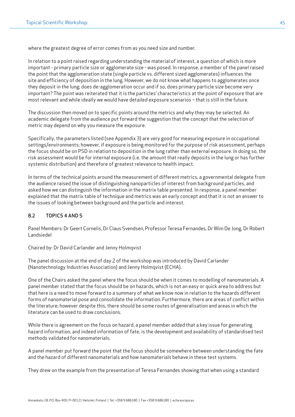where the greatest degree of error comes from as you need size and number.

In relation to a point raised regarding understanding the material of interest, a question of which is more important - primary particle size or agglomerate size - was posed. In response, a member of the panel raised the point that the agglomeration state (single particle vs. different sized agglomerates) influences the site and efficiency of deposition in the lung. However, we do not know what happens to agglomerates once they deposit in the lung; does de-agglomeration occur and if so, does primary particle size become very important? The point was reiterated that it is the particles' characteristics at the point of exposure that are most relevant and while ideally we would have detailed exposure scenarios – that is still in the future.

The discussion then moved on to specific points around the metrics and why they may be selected. An academic delegate from the audience put forward the suggestion that the concept that the selection of metric may depend on why you measure the exposure.

Specifically, the parameters listed (see Appendix 3) are very good for measuring exposure in occupational settings/environments; however, if exposure is being monitored for the purpose of risk assessment, perhaps the focus should be on PSD in relation to deposition in the lung rather than external exposure. In doing so, the risk assessment would be for internal exposure (i.e. the amount that really deposits in the lung or has further systemic distribution) and therefore of greatest relevance to health impact.

In terms of the technical points around the measurement of different metrics, a governmental delegate from the audience raised the issue of distinguishing nanoparticles of interest from background particles, and asked how we can distinguish the information in the matrix table presented. In response, a panel member explained that the matrix table of technique and metrics was an early concept and that it is not an answer to the issues of looking between background and the particle and interest.

### 8.2 TOPICS 4 AND 5

Panel Members: Dr Geert Cornelis, Dr Claus Svendsen, Professor Teresa Fernandes, Dr Wim De Jong, Dr Robert Landsiedel

Chaired by: Dr David Carlander and Jenny Holmqvist

The panel discussion at the end of day 2 of the workshop was introduced by David Carlander (Nanotechnology Industries Association) and Jenny Holmqvist (ECHA).

One of the Chairs asked the panel where the focus should be when it comes to modelling of nanomaterials. A panel member stated that the focus should be on hazards, which is not an easy or quick area to address but that here is a need to move forward to a summary of what we know now in relation to the hazards different forms of nanomaterial pose and consolidate the information. Furthermore, there are areas of conflict within the literature; however despite this, there should be some routes of generalisation and areas in which the literature can be used to draw conclusions.

While there is agreement on the focus on hazard, a panel member added that a key issue for generating hazard information, and indeed information of fate, is the development and availability of standardised test methods validated for nanomaterials.

A panel member put forward the point that the focus should be somewhere between understanding the fate and the hazard of different nanomaterials and how nanomaterials behave in these test systems.

They drew on the example from the presentation of Teresa Fernandes showing that when using a standard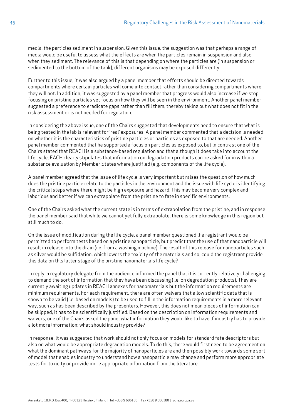media, the particles sediment in suspension. Given this issue, the suggestion was that perhaps a range of media would be useful to assess what the effects are when the particles remain in suspension and also when they sediment. The relevance of this is that depending on where the particles are (in suspension or sedimented to the bottom of the tank), different organisms may be exposed differently.

Further to this issue, it was also argued by a panel member that efforts should be directed towards compartments where certain particles will come into contact rather than considering compartments where they will not. In addition, it was suggested by a panel member that progress would also increase if we stop focusing on pristine particles yet focus on how they will be seen in the environment. Another panel member suggested a preference to eradicate gaps rather than fill them; thereby taking out what does not fit in the risk assessment or is not needed for regulation.

In considering the above issue, one of the Chairs suggested that developments need to ensure that what is being tested in the lab is relevant for 'real' exposures. A panel member commented that a decision is needed on whether it is the characteristics of pristine particles or particles as exposed to that are needed. Another panel member commented that he supported a focus on particles as exposed to, but in contrast one of the Chairs stated that REACH is a substance-based regulation and that although it does take into account the life cycle, EACH clearly stipulates that information on degradation products can be asked for in within a substance evaluation by Member States where justified (e.g. components of the life cycle).

A panel member agreed that the issue of life cycle is very important but raises the question of how much does the pristine particle relate to the particles in the environment and the issue with life cycle is identifying the critical steps where there might be high exposure and hazard. This may become very complex and laborious and better if we can extrapolate from the pristine to fate in specific environments.

One of the Chairs asked what the current state is in terms of extrapolation from the pristine, and in response the panel member said that while we cannot yet fully extrapolate, there is some knowledge in this region but still much to do.

On the issue of modification during the life cycle, a panel member questioned if a registrant would be permitted to perform tests based on a pristine nanoparticle, but predict that the use of that nanoparticle will result in release into the drain (i.e. from a washing machine). The result of this release for nanoparticles such as silver would be sulfidation, which lowers the toxicity of the materials and so, could the registrant provide this data on this latter stage of the pristine nanomaterials life cycle?

In reply, a regulatory delegate from the audience informed the panel that it is currently relatively challenging to demand the sort of information that they have been discussing (i.e. on degradation products). They are currently awaiting updates in REACH annexes for nanomaterials but the information requirements are minimum requirements. For each requirement, there are often waivers that allow scientific data that is shown to be valid (i.e. based on models) to be used to fill in the information requirements in a more relevant way, such as has been described by the presenters. However, this does not mean pieces of information can be skipped; it has to be scientifically justified. Based on the description on information requirements and waivers, one of the Chairs asked the panel what information they would like to have if industry has to provide a lot more information; what should industry provide?

In response, it was suggested that work should not only focus on models for standard fate descriptors but also on what would be appropriate degradation models. To do this, there would first need to be agreement on what the dominant pathways for the majority of nanoparticles are and then possibly work towards some sort of model that enables industry to understand how a nanoparticle may change and perform more appropriate tests for toxicity or provide more appropriate information from the literature.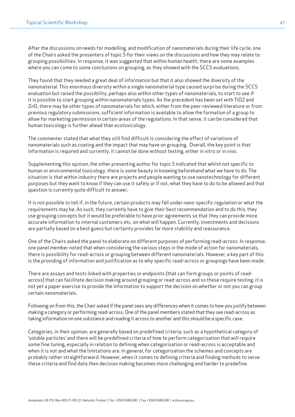After the discussions on needs for modelling, and modification of nanomaterials during their life cycle, one of the Chairs asked the presenters of topic 5 for their views on the discussions and how they may relate to grouping possibilities. In response, it was suggested that within human health, there are some examples where you can come to some conclusions on grouping, as they showed with the SCCS evaluations.

They found that they needed a great deal of information but that it also showed the diversity of the nanomaterial. This enormous diversity within a single nanomaterial type caused surprise during the SCCS evaluation but raised the possibility, perhaps also within other types of nanomaterials, to start to see if it is possible to start grouping within nanomaterials types. As the precedent has been set with TiO2 and ZnO, there may be other types of nanomaterials for which, either from the peer-reviewed literature or from previous regulatory submissions, sufficient information is available to allow the formation of a group to allow for marketing permission in certain areas of the regulations. In that sense, it can be considered that human toxicology is further ahead than ecotoxicology.

The commenter stated that what they still find difficult is considering the effect of variations of nanomaterials such as coating and the impact that may have on grouping. Overall, the key point is that information is required and currently, it cannot be done without testing, either in vitro or in vivo.

Supplementing this opinion, the other presenting author for topic 5 indicated that whilst not specific to human or environmental toxicology, there is some beauty in knowing beforehand what we have to do. The situation is that within industry there are projects and people wanting to use nanotechnology for different purposes but they want to know if they can use it safely or if not, what they have to do to be allowed and that question is currently quite difficult to answer.

It is not possible to tell if, in the future, certain products may fall under nano-specific regulation or what the requirements may be. As such, they currently have to give their best recommendation and to do this, they use grouping concepts but it would be preferable to have prior agreements so that they can provide more accurate information to internal customers etc. on what will happen. Currently, investments and decisions are partially based on a best guess but certainty provides far more stability and reassurance.

One of the Chairs asked the panel to elaborate on different purposes of performing read-across. In response, one panel member noted that when considering the various steps in the mode of action for nanomaterials, there is possibility for read-across or grouping between different nanomaterials. However, a key part of this is the providing of information and justification as to why specific read-across or groupings have been made.

There are assays and tests linked with properties or endpoints (that can form groups or points of readacross) that can facilitate decision making around grouping or read-across and so these require testing; it is not yet a paper exercise to provide the information to support the decision on whether or not you can group certain nanomaterials.

Following on from this, the Chair asked if the panel sees any differences when it comes to how you justify between making a category or performing read-across. One of the panel members stated that they see read-across as taking information on one substance and reading it across to another and this should be a specific case.

Categories, in their opinion, are generally based on predefined criteria, such as a hypothetical category of 'soluble particles' and there will be predefined criteria of how to perform categorisation that will require some fine tuning, especially in relation to defining when categorisation or read-across is acceptable and when it is not and what the limitations are. In general, for categorisation the schemes and concepts are probably rather straightforward. However, when it comes to defining criteria and finding methods to serve these criteria and find data then decision making becomes more challenging and harder to predefine.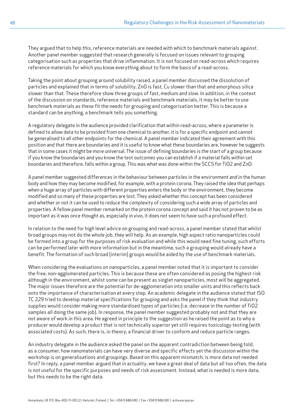They argued that to help this, reference materials are needed with which to benchmark materials against. Another panel member suggested that research generally is focused on issues relevant to grouping categorisation such as properties that drive inflammation. It is not focused on read-across which requires reference materials for which you know everything about to form the basis of a read-across.

Taking the point about grouping around solubility raised, a panel member discussed the dissolution of particles and explained that in terms of solubility, ZnO is fast, Cu slower than that and amorphous silica slower than that. These therefore show three groups of fast, medium and slow. In addition, in the context of the discussion on standards, reference materials and benchmark materials, it may be better to use benchmark materials as these fit the needs for grouping and categorisation better. This is because a standard can be anything, a benchmark tells you something.

A regulatory delegate in the audience provided clarification that within read-across, where a parameter is defined to allow data to be provided from one chemical to another, it is for a specific endpoint and cannot be generalised to all other endpoints for the chemical. A panel member indicated their agreement with this position and that there are boundaries and it is useful to know what these boundaries are, however he suggests that in some cases it might be more universal. The issue of defining boundaries is the start of a group because if you know the boundaries and you know the test outcomes you can establish if a material falls within set boundaries and therefore, falls within a group. This was what was done within the SCCS for TiO2 and ZnO.

A panel member suggested differences in the behaviour between particles in the environment and in the human body and how they may become modified, for example, with a protein corona. They raised the idea that perhaps when a huge array of particles with different properties enters the body or the environment, they become modified and so many of these properties are lost. They asked whether this concept has been considered and whether or not it can be used to reduce the complexity of considering such a wide array of particles and properties. A fellow panel member remarked on the protein corona concept and said it has not proven to be as important as it was once thought as, especially in vivo, it does not seem to have such a profound effect.

In relation to the need for high level advice on grouping and read-across, a panel member stated that whilst broad groups may not do the whole job, they will help. As an example, high aspect ratio nanoparticles could be formed into a group for the purposes of risk evaluation and while this would need fine tuning, such efforts can be performed later with more information but in the meantime, such a grouping would already have a benefit. The formation of such broad (interim) groups would be aided by the use of benchmark materials.

When considering the evaluations on nanoparticles, a panel member noted that it is important to consider the free, non-agglomerated particles. This is because these are often considered as posing the highest risk although in the environment, whilst some can be present as singlet nanoparticles, most will be aggregated. The major issues therefore are the potential for de-agglomeration into smaller units and this reflects back onto the importance of characterisation at every step. An academic delegate in the audience stated that ISO TC 229 tried to develop material specifications for grouping and asks the panel if they think that industry supplies would consider making more standardised types of particles (i.e. decrease in the number of TiO2 samples all doing the same job). In response, the panel member suggested probably not and that they are not aware of work in this area. He agreed in principle to the suggestion as he raised the point as to why a producer would develop a product that is not technically superior yet still requires toxicology testing (with associated costs). As such, there is, in theory, a financial driver to conform and reduce particle ranges.

An industry delegate in the audience asked the panel on the apparent contradiction between being told, as a consumer, how nanomaterials can have very diverse and specific effects yet the discussion within the workshop is on generalisations and groupings. Based on this apparent mismatch, is more data not needed first? In reply, a panel member argued that in actuality, we have a great deal of data but all too often, the data is not useful for the specific purposes and needs of risk assessment. Instead, what is needed is more data, but this needs to be the right data.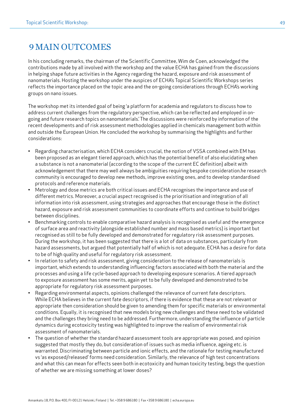# 9MAIN OUTCOMES

In his concluding remarks, the chairman of the Scientific Committee, Wim de Coen, acknowledged the contributions made by all involved with the workshop and the value ECHA has gained from the discussions in helping shape future activities in the Agency regarding the hazard, exposure and risk assessment of nanomaterials. Hosting the workshop under the auspices of ECHA's Topical Scientific Workshops series reflects the importance placed on the topic area and the on-going considerations through ECHA's working groups on nano issues.

The workshop met its intended goal of being 'a platform for academia and regulators to discuss how to address current challenges from the regulatory perspective, which can be reflected and employed in ongoing and future research topics on nanomaterials.' The discussions were reinforced by information of the recent developments and of risk assessment methodologies applied in chemicals management both within and outside the European Union. He concluded the workshop by summarising the highlights and further considerations:

- Regarding characterisation, which ECHA considers crucial, the notion of VSSA combined with EM has been proposed as an elegant tiered approach, which has the potential benefit of also elucidating when a substance is not a nanomaterial (according to the scope of the current EC definition) albeit with acknowledgement that there may well always be ambiguities requiring bespoke consideration.he research community is encouraged to develop new methods, improve existing ones, and to develop standardised protocols and reference materials.
- Metrology and dose metrics are both critical issues and ECHA recognises the importance and use of different metrics. Moreover, a crucial aspect recognised is the prioritisation and integration of all information into risk assessment, using strategies and approaches that encourage those in the distinct hazard, exposure and risk assessment communities to coordinate efforts and continue to build bridges between disciplines.
- Benchmarking controls to enable comparative hazard analysis is recognised as useful and the emergence of surface area and reactivity (alongside established number and mass based metrics) is important but recognised as still to be fully developed and demonstrated for regulatory risk assessment purposes. During the workshop, it has been suggested that there is a lot of data on substances, particularly from hazard assessments, but argued that potentially half of which is not adequate. ECHA has a desire for data to be of high quality and useful for regulatory risk assessment.
- In relation to safety and risk assessment, giving consideration to the release of nanomaterials is important, which extends to understanding influencing factors associated with both the material and the processes and using a life cycle-based approach to developing exposure scenarios. A tiered approach to exposure assessment has some merits, again yet to be fully developed and demonstrated to be appropriate for regulatory risk assessment purposes.
- Regarding environmental aspects, opinions challenged the relevance of current fate descriptors. While ECHA believes in the current fate descriptors, if there is evidence that these are not relevant or appropriate then consideration should be given to amending them for specific materials or environmental conditions. Equally, it is recognised that new models bring new challenges and these need to be validated and the challenges they bring need to be addressed. Furthermore, understanding the influence of particle dynamics during ecotoxicity testing was highlighted to improve the realism of environmental risk assessment of nanomaterials.
- The question of whether the standard hazard assessment tools are appropriate was posed, and opinion suggested that mostly they do, but consideration of issues such as media influence, ageing etc. is warranted. Discriminating between particle and ionic effects, and the rationale for testing manufactured vs 'as exposed/released' forms need consideration. Similarly, the relevance of high test concentrations and what this can mean for effects seen both in ecotoxicity and human toxicity testing, begs the question of whether we are missing something at lower doses?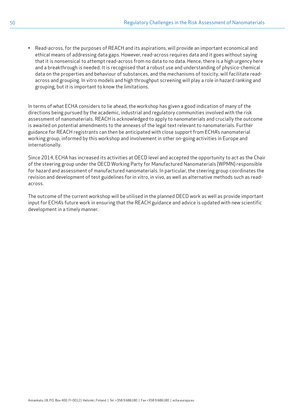• Read-across, for the purposes of REACH and its aspirations, will provide an important economical and ethical means of addressing data gaps. However, read-across requires data and it goes without saying that it is nonsensical to attempt read-across from no data to no data. Hence, there is a high urgency here and a breakthrough is needed. It is recognised that a robust use and understanding of physico-chemical data on the properties and behaviour of substances, and the mechanisms of toxicity, will facilitate readacross and grouping. In vitro models and high throughput screening will play a role in hazard ranking and grouping, but it is important to know the limitations.

In terms of what ECHA considers to lie ahead, the workshop has given a good indication of many of the directions being pursued by the academic, industrial and regulatory communities involved with the risk assessment of nanomaterials. REACH is acknowledged to apply to nanomaterials and crucially the outcome is awaited on potential amendments to the annexes of the legal text relevant to nanomaterials. Further guidance for REACH registrants can then be anticipated with close support from ECHA's nanomaterial working group, informed by this workshop and involvement in other on-going activities in Europe and internationally.

Since 2014, ECHA has increased its activities at OECD level and accepted the opportunity to act as the Chair of the steering group under the OECD Working Party for Manufactured Nanomaterials (WPMN) responsible for hazard and assessment of manufactured nanomaterials. In particular, the steering group coordinates the revision and development of test guidelines for in vitro, in vivo, as well as alternative methods such as readacross.

The outcome of the current workshop will be utilised in the planned OECD work as well as provide important input for ECHA's future work in ensuring that the REACH guidance and advice is updated with new scientific development in a timely manner.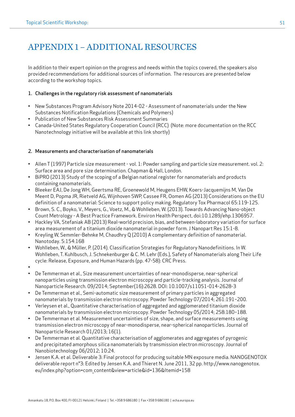# <span id="page-50-0"></span>APPENDIX 1 – ADDITIONAL RESOURCES

In addition to their expert opinion on the progress and needs within the topics covered, the speakers also provided recommendations for additional sources of information. The resources are presented below according to the workshop topics.

#### 1. Challenges in the regulatory risk assessment of nanomaterials

- New Substances Program Advisory Note 2014-02 Assessment of nanomaterials under the New Substances Notification Regulations (Chemicals and Polymers)
- Publication of New Substances Risk Assessment Summaries
- Canada-United States Regulatory Cooperation Council (RCC) (Note: more documentation on the RCC Nanotechnology initiative will be available at this link shortly)

#### 2. Measurements and characterisation of nanomaterials

- Allen T (1997) Particle size measurement vol. 1: Powder sampling and particle size measurement. vol. 2: Surface area and pore size determination. Chapman & Hall, London.
- BiPRO (2013) Study of the scoping of a Belgian national register for nanomaterials and products containing nanomaterials.
- Bleeker EAJ, De Jong WH, Geertsma RE, Groenewold M, Heugens EHW, Koers-Jacquemijns M, Van De Meent D, Popma JR, Rietveld AG, Wijnhoven SWP, Cassee FR, Oomen AG (2013) Considerations on the EU definition of a nanomaterial: Science to support policy making. Regulatory Tox Pharmacol 65:119-125.
- Brown, S. C., Boyko, V., Meyers, G., Voetz, M., & Wohlleben, W. (2013). Towards Advancing Nano-object Count Metrology - A Best Practice Framework. Environ Health Perspect, doi:10.1289/ehp.1306957.
- Hackley VA, Stefaniak AB (2013) Real-world precision, bias, and between-laboratory variation for surface area measurement of a titanium dioxide nanomaterial in powder form. J Nanopart Res 15:1-8.
- Kreyling W, Semmler-Behnke M, Chaudhry Q (2010) A complementary definition of nanomaterial. Nanotoday. 5:154:168
- Wohlleben, W., & Müller, P. (2014). Classification Strategies for Regulatory Nanodefinitions. In W. Wohlleben, T. Kuhlbusch, J. Schnekenburger & C. M. Lehr (Eds.), Safety of Nanomaterials along Their Life cycle: Release, Exposure, and Human Hazards (pp. 47-58): CRC Press.
- •
- De Temmerman et al., Size measurement uncertainties of near-monodisperse, near-spherical nanoparticles using transmission electron microscopy and particle-tracking analysis. Journal of Nanoparticle Research. 09/2014; September(16):2628. DOI: 10.1007/s11051-014-2628-3
- De Temmerman et al., Semi-automatic size measurement of primary particles in aggregated nanomaterials by transmission electron microscopy. Powder Technology 07/2014; 261:191–200.
- Verleysen et al., Quantitative characterisation of aggregated and agglomerated titanium dioxide nanomaterials by transmission electron microscopy. Powder Technology 05/2014; 258:180–188.
- De Temmerman et al. Measurement uncertainties of size, shape, and surface measurements using transmission electron microscopy of near-monodisperse, near-spherical nanoparticles. Journal of Nanoparticle Research 01/2013; 16(1).
- De Temmerman et al. Quantitative characterisation of agglomerates and aggregates of pyrogenic and precipitated amorphous silica nanomaterials by transmission electron microscopy. Journal of Nanobiotechnology 06/2012; 10:24.
- Jensen K.A. et al. Deliverable 3: Final protocol for producing suitable MN exposure media. NANOGENOTOX deliverable report n°3: Edited by Jensen K.A. and Thieret N. June 2011, 32 pp. http://www.nanogenotox. eu/index.php?option=com\_content&view=article&id=136&Itemid=158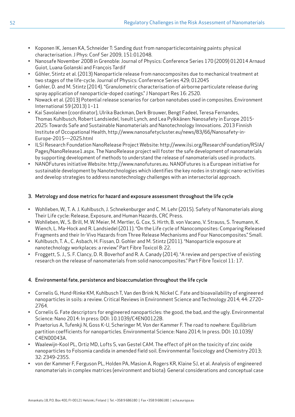- Koponen IK, Jensen KA, Schneider T: Sanding dust from nanoparticlecontaining paints: physical characterisation. J Phys: Conf Ser 2009, 151:012048.
- Nanosafe November 2008 in Grenoble: Journal of Physics: Conference Series 170 (2009) 012014 Arnaud Guiot, Luana Golanski and François Tardif
- Göhler, Stintz et al. (2013) Nanoparticle release from nanocomposites due to mechanical treatment at two stages of the life-cycle. Journal of Physics: Conference Series 429; 012045
- Gohler, D. and M. Stintz (2014). "Granulometric characterisation of airborne particulate release during spray application of nanoparticle-doped coatings." J Nanopart Res 16: 2520.
- Nowack et al. (2013) Potential release scenarios for carbon nanotubes used in composites. Environment International 59 (2013) 1–11
- Kai Savolainen (coordinator), Ulrika Backman, Derk Brouwer, Bengt Fadeel, Teresa Fernandes, Thomas Kuhlbusch, Robert Landsiedel, Iseult Lynch, and Lea Pylkkänen: Nanosafety in Europe 2015- 2025: Towards Safe and Sustainable Nanomaterials and Nanotechnology Innovations. 2013 Finnish Institute of Occupational Health, http://www.nanosafetycluster.eu/news/83/66/Nanosafety-in-Europe-2015---2025.html
- ILSI Research Foundation NanoRelease Project Website: http://www.ilsi.org/ResearchFoundation/RSIA/ Pages/NanoRelease1.aspx. The NanoRelease project will foster the safe development of nanomaterials by supporting development of methods to understand the release of nanomaterials used in products.
- NANOFutures initiative Website: http://www.nanofutures.eu. NANOFutures is a European initiative for sustainable development by Nanotechnologies which identifies the key nodes in strategic nano-activities and develop strategies to address nanotechnology challenges with an intersectorial approach.

## 3. Metrology and dose metrics for hazard and exposure assessment throughout the life cycle

- Wohlleben, W., T. A. J. Kuhlbusch, J. Schnekenburger and C. M. Lehr (2015). Safety of Nanomaterials along Their Life cycle: Release, Exposure, and Human Hazards, CRC Press.
- Wohlleben, W., S. Brill, M. W. Meier, M. Mertler, G. Cox, S. Hirth, B. von Vacano, V. Strauss, S. Treumann, K. Wiench, L. Ma-Hock and R. Landsiedel (2011). "On the Life cycle of Nanocomposites: Comparing Released Fragments and their In-Vivo Hazards from Three Release Mechanisms and Four Nanocomposites." Small.
- Kuhlbusch, T. A., C. Asbach, H. Fissan, D. Gohler and M. Stintz (2011). "Nanoparticle exposure at nanotechnology workplaces: a review." Part Fibre Toxicol 8: 22.
- Froggett, S. J., S. F. Clancy, D. R. Boverhof and R. A. Canady (2014). "A review and perspective of existing research on the release of nanomaterials from solid nanocomposites." Part Fibre Toxicol 11: 17.

### 4. Environmental fate, persistence and bioaccumulation throughout the life cycle

- Cornelis G, Hund-Rinke KM, Kuhlbusch T, Van den Brink N, Nickel C. Fate and bioavailability of engineered nanoparticles in soils: a review. Critical Reviews in Environment Science and Technology 2014; 44: 2720– 2764.
- Cornelis G. Fate descriptors for engineered nanoparticles: the good, the bad, and the ugly. Environmental Science: Nano 2014: In press: DOI: 10.1039/C4EN00122B.
- Praetorius A, Tufenkji N, Goss K-U, Scheringer M, Von der Kammer F. The road to nowhere: Equilibrium partition coefficients for nanoparticles. Environmental Science: Nano 2014; In press. DOI: 10.1039/ C4EN00043A.
- Waalewijn-Kool PL, Ortiz MD, Lofts S, van Gestel CAM. The effect of pH on the toxicity of zinc oxide nanoparticles to Folsomia candida in amended field soil. Environmental Toxicology and Chemistry 2013; 32: 2349-2355.
- von der Kammer F, Ferguson PL, Holden PA, Masion A, Rogers KR, Klaine SJ, et al. Analysis of engineered nanomaterials in complex matrices (environment and biota): General considerations and conceptual case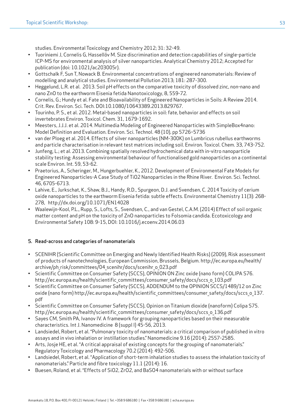studies. Environmental Toxicology and Chemistry 2012; 31: 32-49.

- Tuoriniemi J, Cornelis G, Hassellöv M. Size discrimination and detection capabilities of single-particle ICP-MS for environmental analysis of silver nanoparticles. Analytical Chemistry 2012; Accepted for publication (doi: 10.1021/ac203005r).
- Gottschalk F, Sun T, Nowack B. Environmental concentrations of engineered nanomaterials: Review of modelling and analytical studies. Environmental Pollution 2013; 181: 287-300.
- Heggelund, L.R. et al. 2013. Soil pH effects on the comparative toxicity of dissolved zinc, non-nano and nano ZnO to the earthworm Eisenia fetida Nanotoxicology, 8, 559-72.
- Cornelis, G.; Hundy et al. Fate and Bioavailability of Engineered Nanoparticles in Soils: A Review 2014. Crit. Rev. Environ. Sci. Tech. DOI:10.1080/10643389.2013.829767.
- Tourinho, P. S., et al. 2012. Metal-based nanoparticles in soil: fate, behavior and effects on soil invertebrates Environ. Toxicol. Chem. 31, 1679-1692.
- Meesters, J.J.J. et al. 2014. Multimedia Modeling of Engineered Nanoparticles with SimpleBox4nano: Model Definition and Evaluation. Environ. Sci. Technol. 48 (10), pp 5726–5736
- van der Ploeg et al. 2014. Effects of silver nanoparticles (NM-300K) on Lumbricus rubellus earthworms and particle characterisation in relevant test matrices including soil. Environ. Toxicol. Chem. 33, 743-752.
- Junfeng, L.; et al. 2013. Combining spatially resolved hydrochemical data with in-vitro nanoparticle stability testing: Assessing environmental behaviour of functionalised gold nanoparticles on a continental scale Environ. Int. 59, 53-62.
- Praetorius, A., Scheringer, M., Hungerbuehler, K., 2012. Development of Environmental Fate Models for Engineered Nanoparticles-A Case Study of TiO2 Nanoparticles in the Rhine River. Environ. Sci. Technol. 46, 6705-6713.
- Lahive, E., Jurkschat, K., Shaw, B.J., Handy, R.D., Spurgeon, D.J. and Svendsen, C. 2014 Toxicity of cerium oxide nanoparticles to the earthworm Eisenia fetida: subtle effects. Environmental Chemistry 11(3): 268- 278, http://dx.doi.org/10.1071/EN14028
- Waalewijn-Kool, P.L., Rupp, S., Lofts, S., Svendsen, C., and van Gestel, C.A.M. (2014) Effect of soil organic matter content and pH on the toxicity of ZnO nanoparticles to Folsomia candida. Ecotoxicology and Environmental Safety 108: 9-15, DOI: 10.1016/j.ecoenv.2014.06.03

# 5. Read-across and categories of nanomaterials

- SCENIHR (Scientific Committee on Emerging and Newly Identified Health Risks) (2009), Risk assessment of products of nanotechnologies, European Commission, Brussels, Belgium. http://ec.europa.eu/health/ archive/ph risk/committees/04 scenihr/docs/scenihr o 023.pdf
- Scientific Committee on Consumer Safety (SCCS), OPINION ON Zinc oxide (nano form) COLIPA S76. http://ec.europa.eu/health/scientific committees/consumer safety/docs/sccs o 103.pdf
- Scientific Committee on Consumer Safety (SCCS), ADDENDUM to the OPINION SCCS/1489/12 on Zinc oxide (nano form) http://ec.europa.eu/health/scientific committees/consumer safety/docs/sccs o 137. pdf
- Scientific Committee on Consumer Safety (SCCS), Opinion on Titanium dioxide (nanoform) Colipa S75. http://ec.europa.eu/health/scientific\_committees/consumer\_safety/docs/sccs\_o\_136.pdf
- Sayes CM, Smith PA, Ivanov IV. A framework for grouping nanoparticles based on their measurable characteristics. Int J. Nanomedicine 8 (suppl I) 45-56, 2013.
- Landsiedel, Robert, et al. "Pulmonary toxicity of nanomaterials: a critical comparison of published in vitro assays and in vivo inhalation or instillation studies." Nanomedicine 9.16 (2014): 2557-2585.
- Arts, Josje HE, et al. "A critical appraisal of existing concepts for the grouping of nanomaterials." Regulatory Toxicology and Pharmacology 70.2 (2014): 492-506.
- Landsiedel, Robert, et al. "Application of short-term inhalation studies to assess the inhalation toxicity of nanomaterials." Particle and fibre toxicology 11.1 (2014): 16.
- Buesen, Roland, et al. "Effects of SiO2, ZrO2, and BaSO4 nanomaterials with or without surface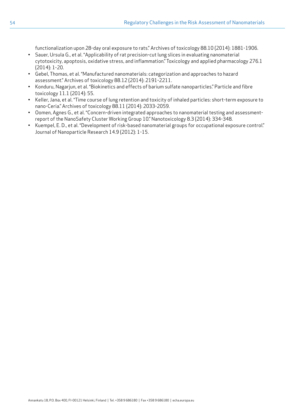functionalization upon 28-day oral exposure to rats." Archives of toxicology 88.10 (2014): 1881-1906.

- Sauer, Ursula G., et al. "Applicability of rat precision-cut lung slices in evaluating nanomaterial cytotoxicity, apoptosis, oxidative stress, and inflammation." Toxicology and applied pharmacology 276.1 (2014): 1-20.
- Gebel, Thomas, et al. "Manufactured nanomaterials: categorization and approaches to hazard assessment." Archives of toxicology 88.12 (2014): 2191-2211.
- Konduru, Nagarjun, et al. "Biokinetics and effects of barium sulfate nanoparticles." Particle and fibre toxicology 11.1 (2014): 55.
- Keller, Jana, et al. "Time course of lung retention and toxicity of inhaled particles: short-term exposure to nano-Ceria." Archives of toxicology 88.11 (2014): 2033-2059.
- Oomen, Agnes G., et al. "Concern-driven integrated approaches to nanomaterial testing and assessmentreport of the NanoSafety Cluster Working Group 10." Nanotoxicology 8.3 (2014): 334-348.
- Kuempel, E. D., et al. "Development of risk-based nanomaterial groups for occupational exposure control." Journal of Nanoparticle Research 14.9 (2012): 1-15.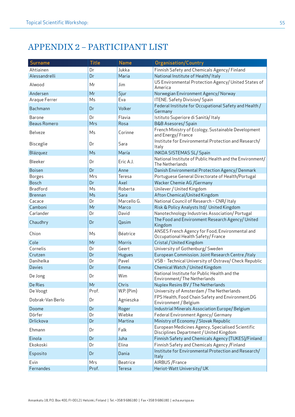# <span id="page-54-0"></span>APPENDIX 2 – PARTICIPANT LIST

| Surname             | <b>Title</b> | <b>Name</b>      | <b>Organisation/Country</b>                                                                  |  |
|---------------------|--------------|------------------|----------------------------------------------------------------------------------------------|--|
| Ahtiainen           | Dr           | Jukka            | Finnish Safety and Chemicals Agency/Finland                                                  |  |
| Alessandrelli       | Dr           | Maria            | National Institute of Health/Italy                                                           |  |
| Alwood              | Mr           | Jim              | US Environmental Protection Agency/ United States of<br>America                              |  |
| Andersen            | Mr           | Sjur             | Norwegian Environment Agency/Norway                                                          |  |
| Araque Ferrer       | Ms           | Eva              | ITENE. Safety Division/ Spain                                                                |  |
| Bachmann            | Dr           | Volker           | Federal Institute for Occupational Safety and Health /<br>Germany                            |  |
| <b>Barone</b>       | Dr           | Flavia           | Istituto Superiore di Sanità/Italy                                                           |  |
| <b>Beaus Romero</b> | Mrs          | Rosa             | <b>B&amp;B Asesores/ Spain</b>                                                               |  |
| Belveze             | Ms           | Corinne          | French Ministry of Ecology, Sustainable Development<br>and Energy/France                     |  |
| <b>Bisceglie</b>    | Dr           | Sara             | Institute for Environmental Protection and Research/<br>Italy                                |  |
| Blázquez            | Ms           | María            | <b>INKOA SISTEMAS SL/ Spain</b>                                                              |  |
| Bleeker             | Dr           | Eric A.J.        | National Institute of Public Health and the Environment/<br>The Netherlands                  |  |
| <b>Boisen</b>       | Dr           | Anne             | Danish Environmental Protection Agency/Denmark                                               |  |
| <b>Borges</b>       | Mrs          | Teresa           | Portuguese General Directorate of Health/Portugal                                            |  |
| <b>Bosch</b>        | Dr           | Axel             | Wacker Chemie AG / Germany                                                                   |  |
| <b>Bradford</b>     | Ms           | Roberta          | Unilever / United Kingdom                                                                    |  |
| <b>Brennan</b>      | Ms           | Sara             | Afton Chemical/United Kingdom                                                                |  |
| Cacace              | Dr           | Marcello G.      | National Council of Research - CNR/ Italy                                                    |  |
| Camboni             | Mr           | Marco            | Risk & Policy Analysts ltd/ United Kingdom                                                   |  |
| Carlander           | Dr           | David            | Nanotechnology Industries Association/Portugal                                               |  |
| Chaudhry            | Dr           | Qasim            | The Food and Environment Research Agency/ United<br>Kingdom                                  |  |
| Chion               | Ms           | Béatrice         | ANSES French Agency for Food, Environmental and<br>Occupational Health Safety/France         |  |
| Cole                | Mr           | Morris           | Cristal / United Kingdom                                                                     |  |
| Cornelis            | Dr           | Geert            | University of Gothenburg/ Sweden                                                             |  |
| Crutzen             | Dr           | Hugues           | European Commission. Joint Research Centre /Italy                                            |  |
| Danihelka           | Dr           | Pavel            | VSB - Technical University of Ostrava/ Check Republic                                        |  |
| <b>Davies</b>       | Dr           | Emma             | Chemical Watch / United Kingdom                                                              |  |
| De Jong             | Dr           | Wim              | National Institute for Public Health and the<br>Environment/The Netherlands                  |  |
| De Ries             | Mr           | Chris            | Nuplex Resins BV / The Netherlands                                                           |  |
| De Voogt            | Prof.        | $W.P.$ ( $Pim$ ) | University of Amsterdam / The Netherlands                                                    |  |
| Dobrak-Van Berlo    | Dr           | Agnieszka        | FPS Health, Food Chain Safety and Environment, DG<br>Environment / Belgium                   |  |
| Doome               | Dr           | Roger            | Industrial Minerals Association Europe/Belgium                                               |  |
| Dörfer              | Dr           | Wiebke           | Federal Environment Agency/ Germany                                                          |  |
| Drlickova           | Dr           | Martina          | Ministry of Economy / Slovak Republic                                                        |  |
| Ehmann              | Dr           | Falk             | European Medicines Agency, Specialised Scientific<br>Disciplines Department / United Kingdom |  |
| Einola              | Dr           | Juha             | Finnish Safety and Chemicals Agency (TUKES)/Finland                                          |  |
| Ekokoski            | Dr           | Elina            | Finnish Safety and Chemicals Agency / Finland                                                |  |
| Esposito            | Dr           | Dania            | Institute for Environmental Protection and Research/<br>Italy                                |  |
| Evin                | Mrs          | <b>Beatrice</b>  | AIRBUS / France                                                                              |  |
| Fernandes           | Prof.        | Teresa           | Heriot-Watt University/UK                                                                    |  |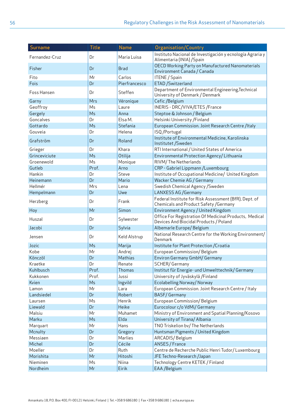| Surname        | <b>Title</b> | <b>Name</b>   | <b>Organisation/Country</b>                                                                      |  |
|----------------|--------------|---------------|--------------------------------------------------------------------------------------------------|--|
| Fernandez-Cruz | Dr           | Maria Luisa   | Instituto Nacional de Investigación y ecnología Agraria y<br>Alimentaria (INIA) / Spain          |  |
| Fisher         | Dr           | <b>Brad</b>   | OECD Working Party on Manufactured Nanomaterials<br>Environment Canada / Canada                  |  |
| Fito           | Mr           | Carlos        | ITENE / Spain                                                                                    |  |
| Fois           | Dr           | Pierfrancesco | ETAD / Switzerland                                                                               |  |
| Foss Hansen    | Dr           | Steffen       | Department of Environmental Engineering, Technical<br>University of Denmark / Denmark            |  |
| Garny          | Mrs          | Véronique     | Cefic /Belgium                                                                                   |  |
| Geoffroy       | Ms           | Laure         | INERIS - DRC/VIVA/ETES/France                                                                    |  |
| Gergely        | Ms           | Anna          | Steptoe & Johnson / Belgium                                                                      |  |
| Goncalves      | Dr           | Elsa M.       | Helsinki University / Finland                                                                    |  |
| Gottardo       | Ms           | Stefania      | European Commission. Joint Research Centre /Italy                                                |  |
| Gouveia        | Dr           | Helena        | ISQ/Portugal                                                                                     |  |
| Grafström      | Dr           | Roland        | Institute of Environmental Medicine, Karolinska<br>Institutet / Sweden                           |  |
| Grieger        | Dr           | Khara         | RTI International / United States of America                                                     |  |
| Grinceviciute  | Ms           | Otilija       | Environmental Protection Agency/Lithuania                                                        |  |
| Groenewold     | Ms           | Monique       | RIVM/The Netherlands                                                                             |  |
| Gutleb         | Prof.        | Arno          | CRP - Gabriel Lippmann / Luxembourg                                                              |  |
| Hankin         | Dr           | Steve         | Institute of Occupational Medicine/ United Kingdom                                               |  |
| Heinemann      | Dr           | Mario         | Wacker Chemie AG / Germany                                                                       |  |
| Hellmér        | Mrs          | Lena          | Swedish Chemical Agency / Sweden                                                                 |  |
| Hempelmann     | Dr           | Uwe           | <b>LANXESS AG /Germany</b>                                                                       |  |
| Herzberg       | Dr           | Frank         | Federal Institute for Risk Assessment (BfR), Dept. of<br>Chemicals and Product Safety / Germany  |  |
| Hoy            | Mr           | Simon         | Environment Agency / United Kingdom                                                              |  |
| Huszal         | Dr           | Sylwester     | Office For Registration Of Medicinal Products, Medical<br>Devices And Biocidal Products / Poland |  |
| Jacobi         | Dr           | Sylvia        | Albemarle Europe/Belgium                                                                         |  |
| Jensen         | Dr           | Keld Alstrup  | National Research Centre for the Working Environment/<br>Denmark                                 |  |
| Jozic          | Ms           | Marija        | Institute for Plant Protection / Croatia                                                         |  |
| Kobe           | Mr           | Andrej        | European Commission/Belgium                                                                      |  |
| Könczöl        | Dr           | Mathias       | Environ Germany GmbH/ Germany                                                                    |  |
| Kraetke        | Dr           | Renate        | <b>SCHER/Germany</b>                                                                             |  |
| Kuhlbusch      | Prof.        | Thomas        | Institut für Energie- und Umwelttechnik/ Germany                                                 |  |
| Kukkonen       | Prof.        | Jussi         | University of Jyväskylä /Finland                                                                 |  |
| Kvien          | Ms           | Ingvild       | Ecolabelling Norway/ Norway                                                                      |  |
| Lamon          | Mr           | Lara          | European Commission. Joint Research Centre / Italy                                               |  |
| Landsiedel     | Dr           | Robert        | <b>BASF/Germany</b>                                                                              |  |
| Laursen        | Ms           | Henrik        | European Commission/Belgium                                                                      |  |
| Liewald        | Dr           | <b>Heike</b>  | Eurocolour c/o VdMi/ Germany                                                                     |  |
| Malsiu         | Mr           | Muhamet       | Ministry of Environment and Spatial Planning/Kosovo                                              |  |
| Marku          | Ms           | Elda          | University of Tirana/ Albania                                                                    |  |
| Marquart       | Mr           | Hans          | TNO Triskelion bv/The Netherlands                                                                |  |
| Mcnulty        | Dr           | Gregory       | Huntsman Pigments / United Kingdom                                                               |  |
| Messiaen       | Dr           | Marlies       | ARCADIS/Belgium                                                                                  |  |
| Michel         | Dr           | Cécile        | ANSES / France                                                                                   |  |
| Moeller        | Dr           | Ruth          | Centre de Recherche Public Henri Tudor/ Luxembourg                                               |  |
| Morishita      | Mr           | Hitoshi       | JFE Techno-Research / Japan                                                                      |  |
| Nieminen       | Ms           | Niina         | Technology Centre KETEK / Finland                                                                |  |
| Nordheim       | Mr           | Eirik         | EAA / Belgium                                                                                    |  |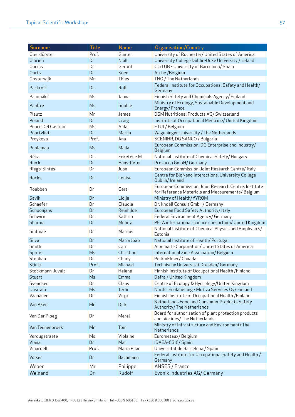| Surname            | <b>Title</b>   | <b>Name</b> | <b>Organisation/Country</b>                                                                                |  |
|--------------------|----------------|-------------|------------------------------------------------------------------------------------------------------------|--|
| Oberdörster        | Prof.          | Günter      | University of Rochester/ United States of America                                                          |  |
| O'brien            | Dr             | Niall       | University College Dublin-Duke University /Ireland                                                         |  |
| Oncins             | Dr             | Gerard      | CCiTUB - University of Barcelona/ Spain                                                                    |  |
| Oorts              | Dr             | Koen        | Arche / Belgium                                                                                            |  |
| Oosterwijk         | Mr             | Thies       | TNO / The Netherlands                                                                                      |  |
| Packroff           | Dr             | Rolf        | Federal Institute for Occupational Safety and Health/<br>Germany                                           |  |
| Palomäki           | Ms             | Jaana       | Finnish Safety and Chemicals Agency/Finland                                                                |  |
| Paultre            | Ms             | Sophie      | Ministry of Ecology, Sustainable Development and<br>Energy/France                                          |  |
| Plautz             | Mr             | James       | DSM Nutritional Products AG/ Switzerland                                                                   |  |
| Poland             | Dr             | Craig       | Institute of Occupational Medicine/United Kingdom                                                          |  |
| Ponce Del Castillo | Ms             | Aida        | ETUI / Belgium                                                                                             |  |
| Poortvliet         | Dr             | Marijn      | Wageningen University / The Netherlands                                                                    |  |
| Proykova           | Prof.          | Ana         | SCENIHR, DG SANCO / Bulgaria                                                                               |  |
| Puolamaa           | Ms             | Maila       | European Commission, DG Enterprise and Industry/<br>Belgium                                                |  |
| Réka               | Dr             | Feketéne M. | National Institute of Chemical Safety/Hungary                                                              |  |
| Rieck              | Dr             | Hans-Peter  | Prosacon GmbH/ Germany                                                                                     |  |
| Riego-Sintes       | Dr             | Juan        | European Commission. Joint Research Centre/Italy                                                           |  |
| Rocks              | Dr             | Louise      | Centre for BioNano Interactions, University College<br>Dublin/ Ireland                                     |  |
| Roebben            | Dr             | Gert        | European Commission, Joint Research Centre, Institute<br>for Reference Materials and Measurements/ Belgium |  |
| Savik              | Dr             | Lidija      | Ministry of Health/ fYROM                                                                                  |  |
| Schaefer           | Dr             | Claudia     | Dr. Knoell Consult GmbH/ Germany                                                                           |  |
| Schoonjans         | Dr             | Reinhilde   | European Food Safety Authority/Italy                                                                       |  |
| Schwirn            | Dr             | Kathrin     | Federal Environment Agency/ Germany                                                                        |  |
| Sharma             | Dr             | Monita      | PETA international science consortium/ United Kingdom                                                      |  |
| Sihtmäe            | Dr             | Mariliis    | National Institute of Chemical Physics and Biophysics/<br>Estonia                                          |  |
| Silva              | Dr             | Maria João  | National Institute of Health/Portugal                                                                      |  |
| Smith              | Dr             | Carr        | Albemarle Corporation/United States of America                                                             |  |
| Spirlet            | Ms             | Christine   | International Zine Association/Belgium                                                                     |  |
| Stephan            | Dr             | Chady       | PerkinElmer/Canada                                                                                         |  |
| Stintz             | Prof.          | Michael     | Technische Universität Dresden/Germany                                                                     |  |
| Stockmann-Juvala   | Dr             | Helene      | Finnish Institute of Occupational Health / Finland                                                         |  |
| Stuart             | Ms             | Emma        | Defra / United Kingdom                                                                                     |  |
| Svendsen           | Dr             | Claus       | Centre of Ecology & Hydrology/United Kingdom                                                               |  |
| Uusitalo           | M <sub>5</sub> | Terhi       | Nordic Ecolabelling - Motiva Services Oy/Finland                                                           |  |
| Väänänen           | Dr             | Virpi       | Finnish Institute of Occupational Health / Finland                                                         |  |
| Van Aken           | Mr             | <b>Dirk</b> | Netherlands Food and Consumer Products Safety<br>Authority/ The Netherlands                                |  |
| Van Der Ploeg      | Dr             | Merel       | Board for authorisation of plant protection products<br>and biocides/ The Netherlands                      |  |
| Van Teunenbroek    | Mr             | Tom         | Ministry of Infrastructure and Environment/The<br>Netherlands                                              |  |
| Verougstraete      | Ms             | Violaine    | Eurometaux/Belgium                                                                                         |  |
| Viana              | Dr             | Mar         | IDAEA-CSIC/Spain                                                                                           |  |
| Vinardell          | Prof.          | María Pilar | Universitat de Barcelona / Spain                                                                           |  |
| Volker             | Dr             | Bachmann    | Federal Institute for Occupational Safety and Health /<br>Germany                                          |  |
| Weber              | Mr             | Philippe    | ANSES / France                                                                                             |  |
| Weinand            | Dr             | Rudolf      | Evonik Industries AG/ Germany                                                                              |  |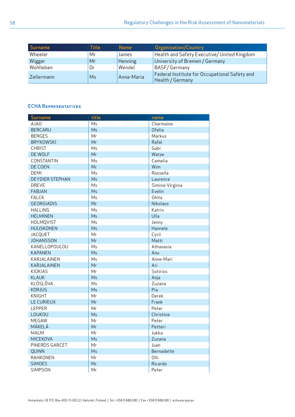| Surname    | Title | <b>Name</b> | Organisation/Country                                              |
|------------|-------|-------------|-------------------------------------------------------------------|
| Wheeler    | Mr    | James       | Health and Safety Executive/United Kingdom                        |
| Wigger     | Mr    | Henning     | University of Bremen / Germany                                    |
| Wohlleben  | Dr    | Wendel      | <b>BASF/Germany</b>                                               |
| Zellermann | Ms    | Anna-Maria  | Federal Institute for Occupational Safety and<br>Health / Germany |

# ECHA Representatives

| Surname                | title | name            |
|------------------------|-------|-----------------|
| <b>AJAO</b>            | Ms    | Charmaine       |
| <b>BERCARU</b>         | Ms    | <b>Ofelia</b>   |
| <b>BERGES</b>          | Mr    | Markus          |
| <b>BRYKOWSKI</b>       | Mr    | Rafal           |
| <b>CHRIST</b>          | Ms    | Gabi            |
| DE WOLF                | Mr    | Watze           |
| CONSTANTIN             | Ms    | Camelia         |
| DE COEN                | Mr    | Wim             |
| <b>DEMI</b>            | Ms    | Rossella        |
| <b>DEYDIER STEPHAN</b> | Ms    | Laurence        |
| <b>DREVE</b>           | Ms    | Simina-Virginia |
| <b>FABJAN</b>          | Ms    | Evelin          |
| <b>FALCK</b>           | Ms    | Ghita           |
| <b>GEORGIADIS</b>      | Mr    | <b>Nikolaos</b> |
| <b>HALLING</b>         | Ms    | Katrin          |
| <b>HELMINEN</b>        | Ms    | Ulla            |
| <b>HOLMQVIST</b>       | Ms    | Jenny           |
| <b>HUUSKONEN</b>       | Ms    | Hannele         |
| <b>JACQUET</b>         | Mr    | Cyril           |
| <b>JOHANSSON</b>       | Mr    | Matti           |
| KANELLOPOULOU          | Ms    | Athanasia       |
| <b>KAPANEN</b>         | Ms    | Anu             |
| KARJALAINEN            | Ms    | Anne-Mari       |
| KARJALAINEN            | Mr    | Ari             |
| KIOKIAS                | Mr    | Sotirios        |
| <b>KLAUK</b>           | Ms    | Anja            |
| KLÖSLÖVA               | Ms    | Zuzana          |
| <b>KORJUS</b>          | Ms    | Pia             |
| <b>KNIGHT</b>          | Mr    | Derek           |
| <b>LE CURIEUX</b>      | Mr    | Frank           |
| LEPPER                 | Mr    | Peter           |
| LOUKOU                 | Ms    | Christina       |
| MEGAW                  | Mr    | Peter           |
| MÄKELÄ                 | Mr    | Petteri         |
| <b>MALM</b>            | Mr    | Jukka           |
| <b>MICEKOVA</b>        | Ms    | Zuzana          |
| PINEROS GARCET         | Mr    | Juan            |
| <b>QUINN</b>           | Ms    | Bernadette      |
| RAHKONEN               | Mr    | Olli            |
| <b>SIMOES</b>          | Mr    | Ricardo         |
| <b>SIMPSON</b>         | Mr    | Peter           |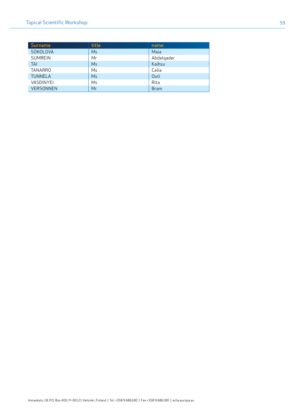| <b>Surname</b>   | title          | name        |
|------------------|----------------|-------------|
| SOKOLOVA         | Ms             | Maia        |
| <b>SUMREIN</b>   | Mr             | Abdelgader  |
| <b>TAI</b>       | M <sub>5</sub> | Kaihsu      |
| TANARRO          | Ms             | Celia       |
| <b>TUNNELA</b>   | M <sub>S</sub> | Outi        |
| VASDINYEI        | Ms             | Rita        |
| <b>VERSONNEN</b> | Mr             | <b>Bram</b> |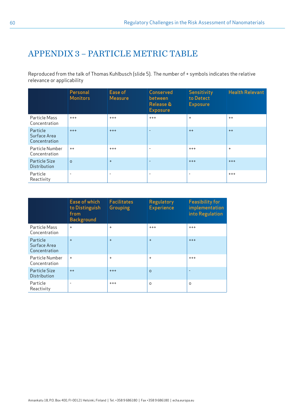# <span id="page-59-0"></span>APPENDIX 3 – PARTICLE METRIC TABLE

Reproduced from the talk of Thomas Kuhlbusch (slide 5). The number of + symbols indicates the relative relevance or applicability

|                                           | Personal<br><b>Monitors</b> | Ease of<br><b>Measure</b> | Conserved<br>between<br><b>Release &amp;</b><br><b>Exposure</b> | Sensitivity<br>to Detect<br><b>Exposure</b> | <b>Health Relevant</b> |
|-------------------------------------------|-----------------------------|---------------------------|-----------------------------------------------------------------|---------------------------------------------|------------------------|
| Particle Mass<br>Concentration            | $^{+++}$                    | $^{+++}$                  | $+++$                                                           | $\ddot{}$                                   | $++$                   |
| Particle<br>Surface Area<br>Concentration | $+++$                       | $+++$                     | ٠                                                               | $++$                                        | $++$                   |
| Particle Number<br>Concentration          | $++$                        | $^{+++}$                  | $\overline{\phantom{a}}$                                        | $^{+++}$                                    | $\ddot{}$              |
| Particle Size<br><b>Distribution</b>      | $\Omega$                    | $+$                       | ٠                                                               | $+++$                                       | $+++$                  |
| Particle<br>Reactivity                    | $\overline{\phantom{a}}$    | $\overline{\phantom{a}}$  | ۰                                                               | $\overline{\phantom{a}}$                    | $^{+++}$               |

|                                           | Ease of which<br>to Distinguish<br>from<br><b>Background</b> | <b>Facilitates</b><br>Grouping | Regulatory<br><b>Experience</b> | <b>Feasibility for</b><br>implementation<br>into Regulation |
|-------------------------------------------|--------------------------------------------------------------|--------------------------------|---------------------------------|-------------------------------------------------------------|
| Particle Mass<br>Concentration            | $\ddot{}$                                                    | $\ddot{}$                      | $+++$                           | $+++$                                                       |
| Particle<br>Surface Area<br>Concentration | $+$                                                          | $+$                            | $+$                             | $+++$                                                       |
| Particle Number<br>Concentration          | $\ddot{}$                                                    | $\ddot{}$                      | $\ddot{}$                       | $+++$                                                       |
| Particle Size<br>Distribution             | $++$                                                         | $+++$                          | $\Omega$                        | ٠                                                           |
| Particle<br>Reactivity                    | ۰                                                            | $^{+++}$                       | $\Omega$                        | $\Omega$                                                    |